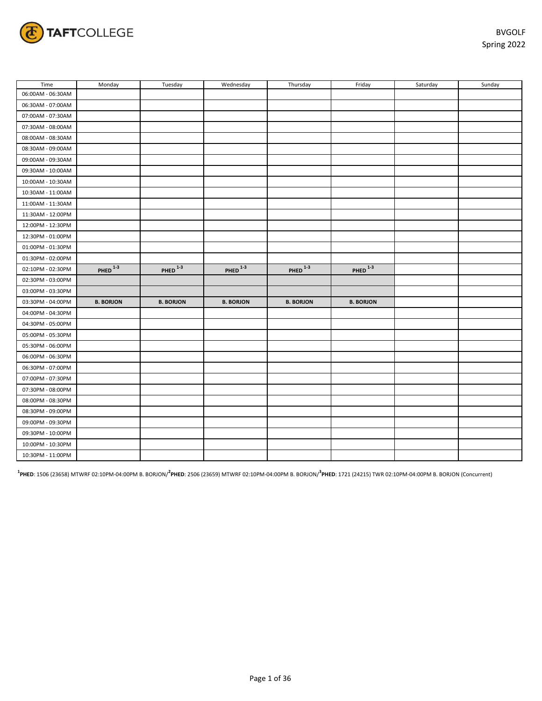

| Time              | Monday                | Tuesday               | Wednesday        | Thursday         | Friday           | Saturday | Sunday |
|-------------------|-----------------------|-----------------------|------------------|------------------|------------------|----------|--------|
| 06:00AM - 06:30AM |                       |                       |                  |                  |                  |          |        |
| 06:30AM - 07:00AM |                       |                       |                  |                  |                  |          |        |
| 07:00AM - 07:30AM |                       |                       |                  |                  |                  |          |        |
| 07:30AM - 08:00AM |                       |                       |                  |                  |                  |          |        |
| 08:00AM - 08:30AM |                       |                       |                  |                  |                  |          |        |
| 08:30AM - 09:00AM |                       |                       |                  |                  |                  |          |        |
| 09:00AM - 09:30AM |                       |                       |                  |                  |                  |          |        |
| 09:30AM - 10:00AM |                       |                       |                  |                  |                  |          |        |
| 10:00AM - 10:30AM |                       |                       |                  |                  |                  |          |        |
| 10:30AM - 11:00AM |                       |                       |                  |                  |                  |          |        |
| 11:00AM - 11:30AM |                       |                       |                  |                  |                  |          |        |
| 11:30AM - 12:00PM |                       |                       |                  |                  |                  |          |        |
| 12:00PM - 12:30PM |                       |                       |                  |                  |                  |          |        |
| 12:30PM - 01:00PM |                       |                       |                  |                  |                  |          |        |
| 01:00PM - 01:30PM |                       |                       |                  |                  |                  |          |        |
| 01:30PM - 02:00PM |                       |                       |                  |                  |                  |          |        |
| 02:10PM - 02:30PM | $PHED$ <sup>1-3</sup> | $PHED$ <sup>1-3</sup> | PHED $1-3$       | PHED $^{1-3}$    | PHED $1-3$       |          |        |
| 02:30PM - 03:00PM |                       |                       |                  |                  |                  |          |        |
| 03:00PM - 03:30PM |                       |                       |                  |                  |                  |          |        |
| 03:30PM - 04:00PM | <b>B. BORJON</b>      | <b>B. BORJON</b>      | <b>B. BORJON</b> | <b>B. BORJON</b> | <b>B. BORJON</b> |          |        |
| 04:00PM - 04:30PM |                       |                       |                  |                  |                  |          |        |
| 04:30PM - 05:00PM |                       |                       |                  |                  |                  |          |        |
| 05:00PM - 05:30PM |                       |                       |                  |                  |                  |          |        |
| 05:30PM - 06:00PM |                       |                       |                  |                  |                  |          |        |
| 06:00PM - 06:30PM |                       |                       |                  |                  |                  |          |        |
| 06:30PM - 07:00PM |                       |                       |                  |                  |                  |          |        |
| 07:00PM - 07:30PM |                       |                       |                  |                  |                  |          |        |
| 07:30PM - 08:00PM |                       |                       |                  |                  |                  |          |        |
| 08:00PM - 08:30PM |                       |                       |                  |                  |                  |          |        |
| 08:30PM - 09:00PM |                       |                       |                  |                  |                  |          |        |
| 09:00PM - 09:30PM |                       |                       |                  |                  |                  |          |        |
| 09:30PM - 10:00PM |                       |                       |                  |                  |                  |          |        |
| 10:00PM - 10:30PM |                       |                       |                  |                  |                  |          |        |
| 10:30PM - 11:00PM |                       |                       |                  |                  |                  |          |        |

**1 PHED**: 1506 (23658) MTWRF 02:10PM-04:00PM B. BORJON/**<sup>2</sup> PHED**: 2506 (23659) MTWRF 02:10PM-04:00PM B. BORJON/**<sup>3</sup> PHED**: 1721 (24215) TWR 02:10PM-04:00PM B. BORJON (Concurrent)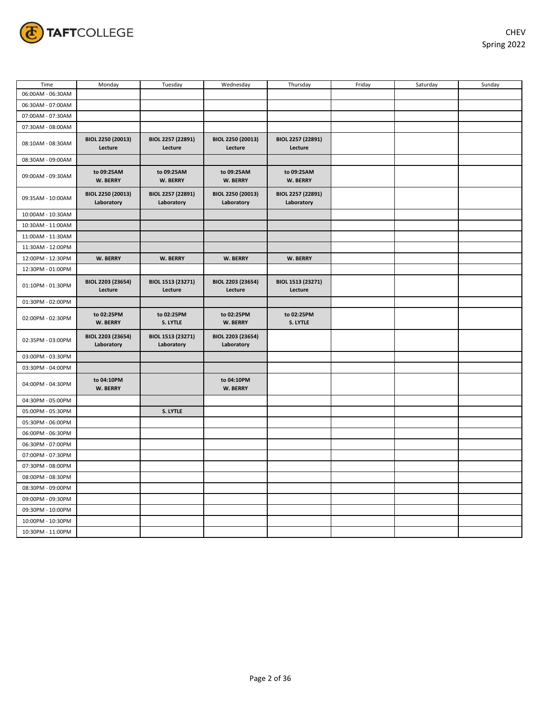

| Time              | Monday                          | Tuesday                         | Wednesday                       | Thursday                        | Friday | Saturday | Sunday |
|-------------------|---------------------------------|---------------------------------|---------------------------------|---------------------------------|--------|----------|--------|
| 06:00AM - 06:30AM |                                 |                                 |                                 |                                 |        |          |        |
| 06:30AM - 07:00AM |                                 |                                 |                                 |                                 |        |          |        |
| 07:00AM - 07:30AM |                                 |                                 |                                 |                                 |        |          |        |
| 07:30AM - 08:00AM |                                 |                                 |                                 |                                 |        |          |        |
| 08:10AM - 08:30AM | BIOL 2250 (20013)<br>Lecture    | BIOL 2257 (22891)<br>Lecture    | BIOL 2250 (20013)<br>Lecture    | BIOL 2257 (22891)<br>Lecture    |        |          |        |
| 08:30AM - 09:00AM |                                 |                                 |                                 |                                 |        |          |        |
| 09:00AM - 09:30AM | to 09:25AM<br>W. BERRY          | to 09:25AM<br>W. BERRY          | to 09:25AM<br>W. BERRY          | to 09:25AM<br>W. BERRY          |        |          |        |
| 09:35AM - 10:00AM | BIOL 2250 (20013)<br>Laboratory | BIOL 2257 (22891)<br>Laboratory | BIOL 2250 (20013)<br>Laboratory | BIOL 2257 (22891)<br>Laboratory |        |          |        |
| 10:00AM - 10:30AM |                                 |                                 |                                 |                                 |        |          |        |
| 10:30AM - 11:00AM |                                 |                                 |                                 |                                 |        |          |        |
| 11:00AM - 11:30AM |                                 |                                 |                                 |                                 |        |          |        |
| 11:30AM - 12:00PM |                                 |                                 |                                 |                                 |        |          |        |
| 12:00PM - 12:30PM | W. BERRY                        | W. BERRY                        | W. BERRY                        | W. BERRY                        |        |          |        |
| 12:30PM - 01:00PM |                                 |                                 |                                 |                                 |        |          |        |
| 01:10PM - 01:30PM | BIOL 2203 (23654)<br>Lecture    | BIOL 1513 (23271)<br>Lecture    | BIOL 2203 (23654)<br>Lecture    | BIOL 1513 (23271)<br>Lecture    |        |          |        |
| 01:30PM - 02:00PM |                                 |                                 |                                 |                                 |        |          |        |
| 02:00PM - 02:30PM | to 02:25PM<br>W. BERRY          | to 02:25PM<br>S. LYTLE          | to 02:25PM<br>W. BERRY          | to 02:25PM<br>S. LYTLE          |        |          |        |
| 02:35PM - 03:00PM | BIOL 2203 (23654)<br>Laboratory | BIOL 1513 (23271)<br>Laboratory | BIOL 2203 (23654)<br>Laboratory |                                 |        |          |        |
| 03:00PM - 03:30PM |                                 |                                 |                                 |                                 |        |          |        |
| 03:30PM - 04:00PM |                                 |                                 |                                 |                                 |        |          |        |
| 04:00PM - 04:30PM | to 04:10PM<br>W. BERRY          |                                 | to 04:10PM<br>W. BERRY          |                                 |        |          |        |
| 04:30PM - 05:00PM |                                 |                                 |                                 |                                 |        |          |        |
| 05:00PM - 05:30PM |                                 | S. LYTLE                        |                                 |                                 |        |          |        |
| 05:30PM - 06:00PM |                                 |                                 |                                 |                                 |        |          |        |
| 06:00PM - 06:30PM |                                 |                                 |                                 |                                 |        |          |        |
| 06:30PM - 07:00PM |                                 |                                 |                                 |                                 |        |          |        |
| 07:00PM - 07:30PM |                                 |                                 |                                 |                                 |        |          |        |
| 07:30PM - 08:00PM |                                 |                                 |                                 |                                 |        |          |        |
| 08:00PM - 08:30PM |                                 |                                 |                                 |                                 |        |          |        |
| 08:30PM - 09:00PM |                                 |                                 |                                 |                                 |        |          |        |
| 09:00PM - 09:30PM |                                 |                                 |                                 |                                 |        |          |        |
| 09:30PM - 10:00PM |                                 |                                 |                                 |                                 |        |          |        |
| 10:00PM - 10:30PM |                                 |                                 |                                 |                                 |        |          |        |
| 10:30PM - 11:00PM |                                 |                                 |                                 |                                 |        |          |        |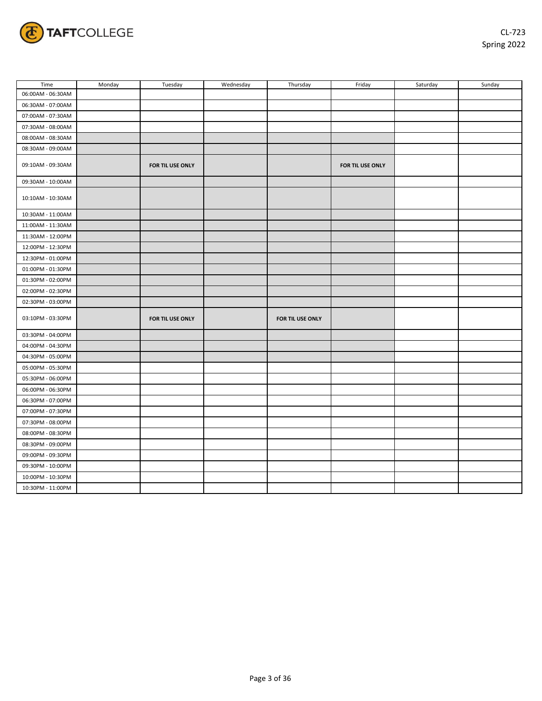

| Time              | Monday | Tuesday          | Wednesday | Thursday         | Friday           | Saturday | Sunday |
|-------------------|--------|------------------|-----------|------------------|------------------|----------|--------|
| 06:00AM - 06:30AM |        |                  |           |                  |                  |          |        |
| 06:30AM - 07:00AM |        |                  |           |                  |                  |          |        |
| 07:00AM - 07:30AM |        |                  |           |                  |                  |          |        |
| 07:30AM - 08:00AM |        |                  |           |                  |                  |          |        |
| 08:00AM - 08:30AM |        |                  |           |                  |                  |          |        |
| 08:30AM - 09:00AM |        |                  |           |                  |                  |          |        |
| 09:10AM - 09:30AM |        | FOR TIL USE ONLY |           |                  | FOR TIL USE ONLY |          |        |
| 09:30AM - 10:00AM |        |                  |           |                  |                  |          |        |
| 10:10AM - 10:30AM |        |                  |           |                  |                  |          |        |
| 10:30AM - 11:00AM |        |                  |           |                  |                  |          |        |
| 11:00AM - 11:30AM |        |                  |           |                  |                  |          |        |
| 11:30AM - 12:00PM |        |                  |           |                  |                  |          |        |
| 12:00PM - 12:30PM |        |                  |           |                  |                  |          |        |
| 12:30PM - 01:00PM |        |                  |           |                  |                  |          |        |
| 01:00PM - 01:30PM |        |                  |           |                  |                  |          |        |
| 01:30PM - 02:00PM |        |                  |           |                  |                  |          |        |
| 02:00PM - 02:30PM |        |                  |           |                  |                  |          |        |
| 02:30PM - 03:00PM |        |                  |           |                  |                  |          |        |
| 03:10PM - 03:30PM |        | FOR TIL USE ONLY |           | FOR TIL USE ONLY |                  |          |        |
| 03:30PM - 04:00PM |        |                  |           |                  |                  |          |        |
| 04:00PM - 04:30PM |        |                  |           |                  |                  |          |        |
| 04:30PM - 05:00PM |        |                  |           |                  |                  |          |        |
| 05:00PM - 05:30PM |        |                  |           |                  |                  |          |        |
| 05:30PM - 06:00PM |        |                  |           |                  |                  |          |        |
| 06:00PM - 06:30PM |        |                  |           |                  |                  |          |        |
| 06:30PM - 07:00PM |        |                  |           |                  |                  |          |        |
| 07:00PM - 07:30PM |        |                  |           |                  |                  |          |        |
| 07:30PM - 08:00PM |        |                  |           |                  |                  |          |        |
| 08:00PM - 08:30PM |        |                  |           |                  |                  |          |        |
| 08:30PM - 09:00PM |        |                  |           |                  |                  |          |        |
| 09:00PM - 09:30PM |        |                  |           |                  |                  |          |        |
| 09:30PM - 10:00PM |        |                  |           |                  |                  |          |        |
| 10:00PM - 10:30PM |        |                  |           |                  |                  |          |        |
| 10:30PM - 11:00PM |        |                  |           |                  |                  |          |        |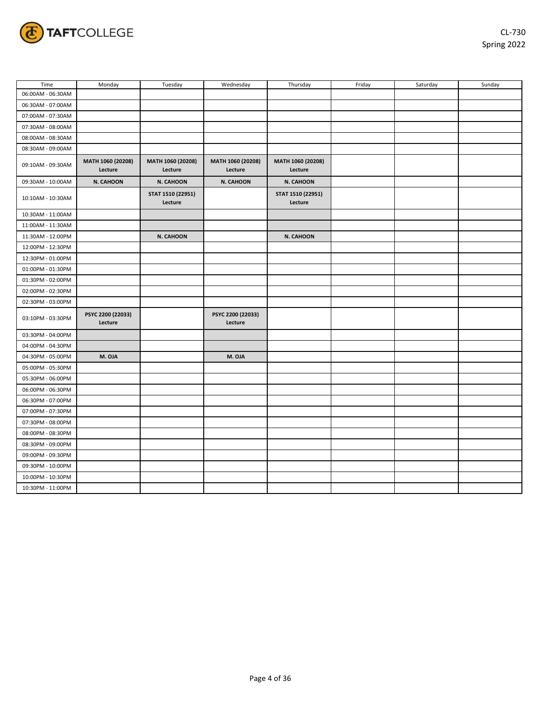

| Time              | Monday                       | Tuesday                      | Wednesday                    | Thursday                     | Friday | Saturday | Sunday |
|-------------------|------------------------------|------------------------------|------------------------------|------------------------------|--------|----------|--------|
| 06:00AM - 06:30AM |                              |                              |                              |                              |        |          |        |
| 06:30AM - 07:00AM |                              |                              |                              |                              |        |          |        |
| 07:00AM - 07:30AM |                              |                              |                              |                              |        |          |        |
| 07:30AM - 08:00AM |                              |                              |                              |                              |        |          |        |
| 08:00AM - 08:30AM |                              |                              |                              |                              |        |          |        |
| 08:30AM - 09:00AM |                              |                              |                              |                              |        |          |        |
| 09:10AM - 09:30AM | MATH 1060 (20208)<br>Lecture | MATH 1060 (20208)<br>Lecture | MATH 1060 (20208)<br>Lecture | MATH 1060 (20208)<br>Lecture |        |          |        |
| 09:30AM - 10:00AM | N. CAHOON                    | N. CAHOON                    | N. CAHOON                    | N. CAHOON                    |        |          |        |
| 10:10AM - 10:30AM |                              | STAT 1510 (22951)<br>Lecture |                              | STAT 1510 (22951)<br>Lecture |        |          |        |
| 10:30AM - 11:00AM |                              |                              |                              |                              |        |          |        |
| 11:00AM - 11:30AM |                              |                              |                              |                              |        |          |        |
| 11:30AM - 12:00PM |                              | N. CAHOON                    |                              | N. CAHOON                    |        |          |        |
| 12:00PM - 12:30PM |                              |                              |                              |                              |        |          |        |
| 12:30PM - 01:00PM |                              |                              |                              |                              |        |          |        |
| 01:00PM - 01:30PM |                              |                              |                              |                              |        |          |        |
| 01:30PM - 02:00PM |                              |                              |                              |                              |        |          |        |
| 02:00PM - 02:30PM |                              |                              |                              |                              |        |          |        |
| 02:30PM - 03:00PM |                              |                              |                              |                              |        |          |        |
| 03:10PM - 03:30PM | PSYC 2200 (22033)<br>Lecture |                              | PSYC 2200 (22033)<br>Lecture |                              |        |          |        |
| 03:30PM - 04:00PM |                              |                              |                              |                              |        |          |        |
| 04:00PM - 04:30PM |                              |                              |                              |                              |        |          |        |
| 04:30PM - 05:00PM | M. OJA                       |                              | M. OJA                       |                              |        |          |        |
| 05:00PM - 05:30PM |                              |                              |                              |                              |        |          |        |
| 05:30PM - 06:00PM |                              |                              |                              |                              |        |          |        |
| 06:00PM - 06:30PM |                              |                              |                              |                              |        |          |        |
| 06:30PM - 07:00PM |                              |                              |                              |                              |        |          |        |
| 07:00PM - 07:30PM |                              |                              |                              |                              |        |          |        |
| 07:30PM - 08:00PM |                              |                              |                              |                              |        |          |        |
| 08:00PM - 08:30PM |                              |                              |                              |                              |        |          |        |
| 08:30PM - 09:00PM |                              |                              |                              |                              |        |          |        |
| 09:00PM - 09:30PM |                              |                              |                              |                              |        |          |        |
| 09:30PM - 10:00PM |                              |                              |                              |                              |        |          |        |
| 10:00PM - 10:30PM |                              |                              |                              |                              |        |          |        |
| 10:30PM - 11:00PM |                              |                              |                              |                              |        |          |        |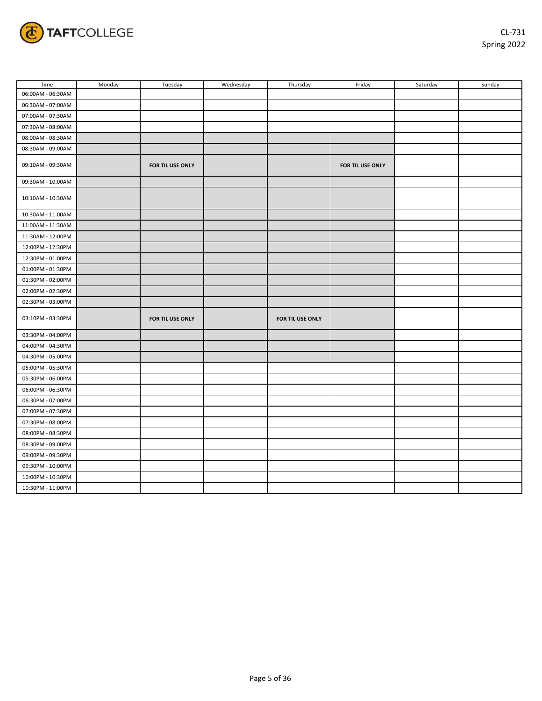

| Time              | Monday | Tuesday          | Wednesday | Thursday         | Friday           | Saturday | Sunday |
|-------------------|--------|------------------|-----------|------------------|------------------|----------|--------|
| 06:00AM - 06:30AM |        |                  |           |                  |                  |          |        |
| 06:30AM - 07:00AM |        |                  |           |                  |                  |          |        |
| 07:00AM - 07:30AM |        |                  |           |                  |                  |          |        |
| 07:30AM - 08:00AM |        |                  |           |                  |                  |          |        |
| 08:00AM - 08:30AM |        |                  |           |                  |                  |          |        |
| 08:30AM - 09:00AM |        |                  |           |                  |                  |          |        |
| 09:10AM - 09:30AM |        | FOR TIL USE ONLY |           |                  | FOR TIL USE ONLY |          |        |
| 09:30AM - 10:00AM |        |                  |           |                  |                  |          |        |
| 10:10AM - 10:30AM |        |                  |           |                  |                  |          |        |
| 10:30AM - 11:00AM |        |                  |           |                  |                  |          |        |
| 11:00AM - 11:30AM |        |                  |           |                  |                  |          |        |
| 11:30AM - 12:00PM |        |                  |           |                  |                  |          |        |
| 12:00PM - 12:30PM |        |                  |           |                  |                  |          |        |
| 12:30PM - 01:00PM |        |                  |           |                  |                  |          |        |
| 01:00PM - 01:30PM |        |                  |           |                  |                  |          |        |
| 01:30PM - 02:00PM |        |                  |           |                  |                  |          |        |
| 02:00PM - 02:30PM |        |                  |           |                  |                  |          |        |
| 02:30PM - 03:00PM |        |                  |           |                  |                  |          |        |
| 03:10PM - 03:30PM |        | FOR TIL USE ONLY |           | FOR TIL USE ONLY |                  |          |        |
| 03:30PM - 04:00PM |        |                  |           |                  |                  |          |        |
| 04:00PM - 04:30PM |        |                  |           |                  |                  |          |        |
| 04:30PM - 05:00PM |        |                  |           |                  |                  |          |        |
| 05:00PM - 05:30PM |        |                  |           |                  |                  |          |        |
| 05:30PM - 06:00PM |        |                  |           |                  |                  |          |        |
| 06:00PM - 06:30PM |        |                  |           |                  |                  |          |        |
| 06:30PM - 07:00PM |        |                  |           |                  |                  |          |        |
| 07:00PM - 07:30PM |        |                  |           |                  |                  |          |        |
| 07:30PM - 08:00PM |        |                  |           |                  |                  |          |        |
| 08:00PM - 08:30PM |        |                  |           |                  |                  |          |        |
| 08:30PM - 09:00PM |        |                  |           |                  |                  |          |        |
| 09:00PM - 09:30PM |        |                  |           |                  |                  |          |        |
| 09:30PM - 10:00PM |        |                  |           |                  |                  |          |        |
| 10:00PM - 10:30PM |        |                  |           |                  |                  |          |        |
| 10:30PM - 11:00PM |        |                  |           |                  |                  |          |        |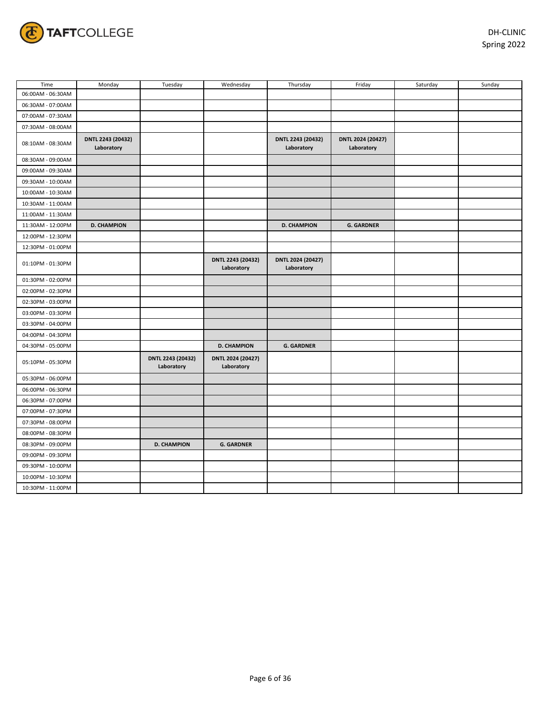

| Time              | Monday                          | Tuesday                         | Wednesday                       | Thursday                        | Friday                          | Saturday | Sunday |
|-------------------|---------------------------------|---------------------------------|---------------------------------|---------------------------------|---------------------------------|----------|--------|
| 06:00AM - 06:30AM |                                 |                                 |                                 |                                 |                                 |          |        |
| 06:30AM - 07:00AM |                                 |                                 |                                 |                                 |                                 |          |        |
| 07:00AM - 07:30AM |                                 |                                 |                                 |                                 |                                 |          |        |
| 07:30AM - 08:00AM |                                 |                                 |                                 |                                 |                                 |          |        |
| 08:10AM - 08:30AM | DNTL 2243 (20432)<br>Laboratory |                                 |                                 | DNTL 2243 (20432)<br>Laboratory | DNTL 2024 (20427)<br>Laboratory |          |        |
| 08:30AM - 09:00AM |                                 |                                 |                                 |                                 |                                 |          |        |
| 09:00AM - 09:30AM |                                 |                                 |                                 |                                 |                                 |          |        |
| 09:30AM - 10:00AM |                                 |                                 |                                 |                                 |                                 |          |        |
| 10:00AM - 10:30AM |                                 |                                 |                                 |                                 |                                 |          |        |
| 10:30AM - 11:00AM |                                 |                                 |                                 |                                 |                                 |          |        |
| 11:00AM - 11:30AM |                                 |                                 |                                 |                                 |                                 |          |        |
| 11:30AM - 12:00PM | <b>D. CHAMPION</b>              |                                 |                                 | <b>D. CHAMPION</b>              | <b>G. GARDNER</b>               |          |        |
| 12:00PM - 12:30PM |                                 |                                 |                                 |                                 |                                 |          |        |
| 12:30PM - 01:00PM |                                 |                                 |                                 |                                 |                                 |          |        |
| 01:10PM - 01:30PM |                                 |                                 | DNTL 2243 (20432)<br>Laboratory | DNTL 2024 (20427)<br>Laboratory |                                 |          |        |
| 01:30PM - 02:00PM |                                 |                                 |                                 |                                 |                                 |          |        |
| 02:00PM - 02:30PM |                                 |                                 |                                 |                                 |                                 |          |        |
| 02:30PM - 03:00PM |                                 |                                 |                                 |                                 |                                 |          |        |
| 03:00PM - 03:30PM |                                 |                                 |                                 |                                 |                                 |          |        |
| 03:30PM - 04:00PM |                                 |                                 |                                 |                                 |                                 |          |        |
| 04:00PM - 04:30PM |                                 |                                 |                                 |                                 |                                 |          |        |
| 04:30PM - 05:00PM |                                 |                                 | <b>D. CHAMPION</b>              | <b>G. GARDNER</b>               |                                 |          |        |
| 05:10PM - 05:30PM |                                 | DNTL 2243 (20432)<br>Laboratory | DNTL 2024 (20427)<br>Laboratory |                                 |                                 |          |        |
| 05:30PM - 06:00PM |                                 |                                 |                                 |                                 |                                 |          |        |
| 06:00PM - 06:30PM |                                 |                                 |                                 |                                 |                                 |          |        |
| 06:30PM - 07:00PM |                                 |                                 |                                 |                                 |                                 |          |        |
| 07:00PM - 07:30PM |                                 |                                 |                                 |                                 |                                 |          |        |
| 07:30PM - 08:00PM |                                 |                                 |                                 |                                 |                                 |          |        |
| 08:00PM - 08:30PM |                                 |                                 |                                 |                                 |                                 |          |        |
| 08:30PM - 09:00PM |                                 | <b>D. CHAMPION</b>              | <b>G. GARDNER</b>               |                                 |                                 |          |        |
| 09:00PM - 09:30PM |                                 |                                 |                                 |                                 |                                 |          |        |
| 09:30PM - 10:00PM |                                 |                                 |                                 |                                 |                                 |          |        |
| 10:00PM - 10:30PM |                                 |                                 |                                 |                                 |                                 |          |        |
| 10:30PM - 11:00PM |                                 |                                 |                                 |                                 |                                 |          |        |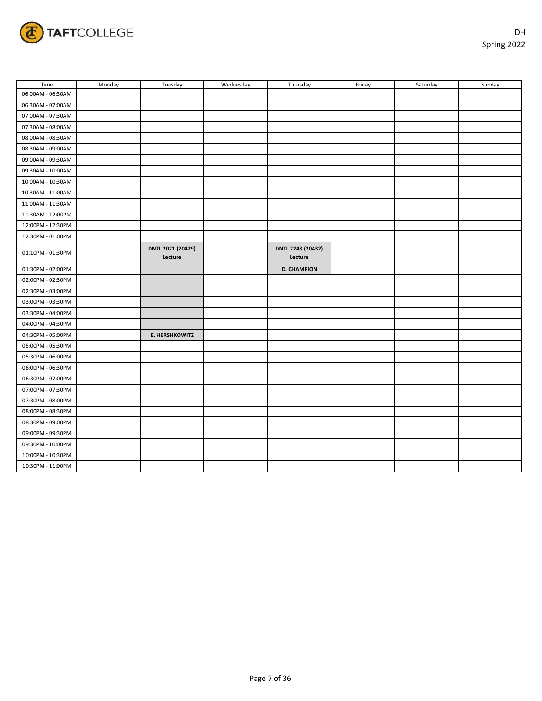

| Time              | Monday | Tuesday                      | Wednesday | Thursday                     | Friday | Saturday | Sunday |
|-------------------|--------|------------------------------|-----------|------------------------------|--------|----------|--------|
| 06:00AM - 06:30AM |        |                              |           |                              |        |          |        |
| 06:30AM - 07:00AM |        |                              |           |                              |        |          |        |
| 07:00AM - 07:30AM |        |                              |           |                              |        |          |        |
| 07:30AM - 08:00AM |        |                              |           |                              |        |          |        |
| 08:00AM - 08:30AM |        |                              |           |                              |        |          |        |
| 08:30AM - 09:00AM |        |                              |           |                              |        |          |        |
| 09:00AM - 09:30AM |        |                              |           |                              |        |          |        |
| 09:30AM - 10:00AM |        |                              |           |                              |        |          |        |
| 10:00AM - 10:30AM |        |                              |           |                              |        |          |        |
| 10:30AM - 11:00AM |        |                              |           |                              |        |          |        |
| 11:00AM - 11:30AM |        |                              |           |                              |        |          |        |
| 11:30AM - 12:00PM |        |                              |           |                              |        |          |        |
| 12:00PM - 12:30PM |        |                              |           |                              |        |          |        |
| 12:30PM - 01:00PM |        |                              |           |                              |        |          |        |
| 01:10PM - 01:30PM |        | DNTL 2021 (20429)<br>Lecture |           | DNTL 2243 (20432)<br>Lecture |        |          |        |
| 01:30PM - 02:00PM |        |                              |           | <b>D. CHAMPION</b>           |        |          |        |
| 02:00PM - 02:30PM |        |                              |           |                              |        |          |        |
| 02:30PM - 03:00PM |        |                              |           |                              |        |          |        |
| 03:00PM - 03:30PM |        |                              |           |                              |        |          |        |
| 03:30PM - 04:00PM |        |                              |           |                              |        |          |        |
| 04:00PM - 04:30PM |        |                              |           |                              |        |          |        |
| 04:30PM - 05:00PM |        | <b>E. HERSHKOWITZ</b>        |           |                              |        |          |        |
| 05:00PM - 05:30PM |        |                              |           |                              |        |          |        |
| 05:30PM - 06:00PM |        |                              |           |                              |        |          |        |
| 06:00PM - 06:30PM |        |                              |           |                              |        |          |        |
| 06:30PM - 07:00PM |        |                              |           |                              |        |          |        |
| 07:00PM - 07:30PM |        |                              |           |                              |        |          |        |
| 07:30PM - 08:00PM |        |                              |           |                              |        |          |        |
| 08:00PM - 08:30PM |        |                              |           |                              |        |          |        |
| 08:30PM - 09:00PM |        |                              |           |                              |        |          |        |
| 09:00PM - 09:30PM |        |                              |           |                              |        |          |        |
| 09:30PM - 10:00PM |        |                              |           |                              |        |          |        |
| 10:00PM - 10:30PM |        |                              |           |                              |        |          |        |
| 10:30PM - 11:00PM |        |                              |           |                              |        |          |        |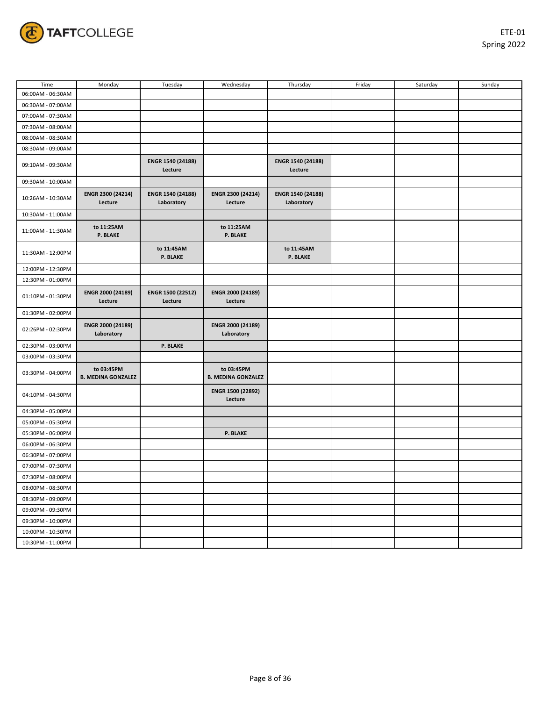

| Time              | Monday                                  | Tuesday                         | Wednesday                               | Thursday                        | Friday | Saturday | Sunday |
|-------------------|-----------------------------------------|---------------------------------|-----------------------------------------|---------------------------------|--------|----------|--------|
| 06:00AM - 06:30AM |                                         |                                 |                                         |                                 |        |          |        |
| 06:30AM - 07:00AM |                                         |                                 |                                         |                                 |        |          |        |
| 07:00AM - 07:30AM |                                         |                                 |                                         |                                 |        |          |        |
| 07:30AM - 08:00AM |                                         |                                 |                                         |                                 |        |          |        |
| 08:00AM - 08:30AM |                                         |                                 |                                         |                                 |        |          |        |
| 08:30AM - 09:00AM |                                         |                                 |                                         |                                 |        |          |        |
| 09:10AM - 09:30AM |                                         | ENGR 1540 (24188)<br>Lecture    |                                         | ENGR 1540 (24188)<br>Lecture    |        |          |        |
| 09:30AM - 10:00AM |                                         |                                 |                                         |                                 |        |          |        |
| 10:26AM - 10:30AM | ENGR 2300 (24214)<br>Lecture            | ENGR 1540 (24188)<br>Laboratory | ENGR 2300 (24214)<br>Lecture            | ENGR 1540 (24188)<br>Laboratory |        |          |        |
| 10:30AM - 11:00AM |                                         |                                 |                                         |                                 |        |          |        |
| 11:00AM - 11:30AM | to 11:25AM<br>P. BLAKE                  |                                 | to 11:25AM<br>P. BLAKE                  |                                 |        |          |        |
| 11:30AM - 12:00PM |                                         | to 11:45AM<br>P. BLAKE          |                                         | to 11:45AM<br>P. BLAKE          |        |          |        |
| 12:00PM - 12:30PM |                                         |                                 |                                         |                                 |        |          |        |
| 12:30PM - 01:00PM |                                         |                                 |                                         |                                 |        |          |        |
| 01:10PM - 01:30PM | ENGR 2000 (24189)<br>Lecture            | ENGR 1500 (22512)<br>Lecture    | ENGR 2000 (24189)<br>Lecture            |                                 |        |          |        |
| 01:30PM - 02:00PM |                                         |                                 |                                         |                                 |        |          |        |
| 02:26PM - 02:30PM | ENGR 2000 (24189)<br>Laboratory         |                                 | ENGR 2000 (24189)<br>Laboratory         |                                 |        |          |        |
| 02:30PM - 03:00PM |                                         | <b>P. BLAKE</b>                 |                                         |                                 |        |          |        |
| 03:00PM - 03:30PM |                                         |                                 |                                         |                                 |        |          |        |
| 03:30PM - 04:00PM | to 03:45PM<br><b>B. MEDINA GONZALEZ</b> |                                 | to 03:45PM<br><b>B. MEDINA GONZALEZ</b> |                                 |        |          |        |
| 04:10PM - 04:30PM |                                         |                                 | ENGR 1500 (22892)<br>Lecture            |                                 |        |          |        |
| 04:30PM - 05:00PM |                                         |                                 |                                         |                                 |        |          |        |
| 05:00PM - 05:30PM |                                         |                                 |                                         |                                 |        |          |        |
| 05:30PM - 06:00PM |                                         |                                 | P. BLAKE                                |                                 |        |          |        |
| 06:00PM - 06:30PM |                                         |                                 |                                         |                                 |        |          |        |
| 06:30PM - 07:00PM |                                         |                                 |                                         |                                 |        |          |        |
| 07:00PM - 07:30PM |                                         |                                 |                                         |                                 |        |          |        |
| 07:30PM - 08:00PM |                                         |                                 |                                         |                                 |        |          |        |
| 08:00PM - 08:30PM |                                         |                                 |                                         |                                 |        |          |        |
| 08:30PM - 09:00PM |                                         |                                 |                                         |                                 |        |          |        |
| 09:00PM - 09:30PM |                                         |                                 |                                         |                                 |        |          |        |
| 09:30PM - 10:00PM |                                         |                                 |                                         |                                 |        |          |        |
| 10:00PM - 10:30PM |                                         |                                 |                                         |                                 |        |          |        |
| 10:30PM - 11:00PM |                                         |                                 |                                         |                                 |        |          |        |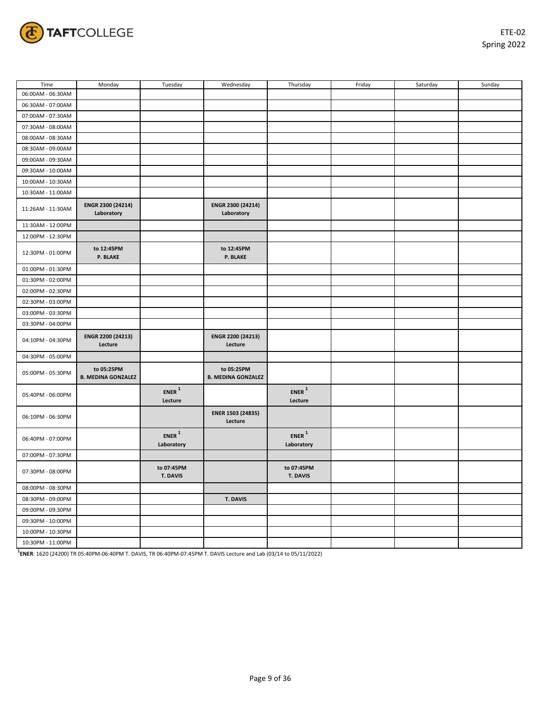

| Time              | Monday                                  | Tuesday                      | Wednesday                               | Thursday                          | Friday | Saturday | Sunday |
|-------------------|-----------------------------------------|------------------------------|-----------------------------------------|-----------------------------------|--------|----------|--------|
| 06:00AM - 06:30AM |                                         |                              |                                         |                                   |        |          |        |
| 06:30AM - 07:00AM |                                         |                              |                                         |                                   |        |          |        |
| 07:00AM - 07:30AM |                                         |                              |                                         |                                   |        |          |        |
| 07:30AM - 08:00AM |                                         |                              |                                         |                                   |        |          |        |
| 08:00AM - 08:30AM |                                         |                              |                                         |                                   |        |          |        |
| 08:30AM - 09:00AM |                                         |                              |                                         |                                   |        |          |        |
| 09:00AM - 09:30AM |                                         |                              |                                         |                                   |        |          |        |
| 09:30AM - 10:00AM |                                         |                              |                                         |                                   |        |          |        |
| 10:00AM - 10:30AM |                                         |                              |                                         |                                   |        |          |        |
| 10:30AM - 11:00AM |                                         |                              |                                         |                                   |        |          |        |
| 11:26AM - 11:30AM | ENGR 2300 (24214)<br>Laboratory         |                              | ENGR 2300 (24214)<br>Laboratory         |                                   |        |          |        |
| 11:30AM - 12:00PM |                                         |                              |                                         |                                   |        |          |        |
| 12:00PM - 12:30PM |                                         |                              |                                         |                                   |        |          |        |
| 12:30PM - 01:00PM | to 12:45PM<br>P. BLAKE                  |                              | to 12:45PM<br><b>P. BLAKE</b>           |                                   |        |          |        |
| 01:00PM - 01:30PM |                                         |                              |                                         |                                   |        |          |        |
| 01:30PM - 02:00PM |                                         |                              |                                         |                                   |        |          |        |
| 02:00PM - 02:30PM |                                         |                              |                                         |                                   |        |          |        |
| 02:30PM - 03:00PM |                                         |                              |                                         |                                   |        |          |        |
| 03:00PM - 03:30PM |                                         |                              |                                         |                                   |        |          |        |
| 03:30PM - 04:00PM |                                         |                              |                                         |                                   |        |          |        |
| 04:10PM - 04:30PM | ENGR 2200 (24213)<br>Lecture            |                              | ENGR 2200 (24213)<br>Lecture            |                                   |        |          |        |
| 04:30PM - 05:00PM |                                         |                              |                                         |                                   |        |          |        |
| 05:00PM - 05:30PM | to 05:25PM<br><b>B. MEDINA GONZALEZ</b> |                              | to 05:25PM<br><b>B. MEDINA GONZALEZ</b> |                                   |        |          |        |
| 05:40PM - 06:00PM |                                         | ${\sf ENER}$ $^1$<br>Lecture |                                         | $ENER$ <sup>1</sup><br>Lecture    |        |          |        |
| 06:10PM - 06:30PM |                                         |                              | ENER 1503 (24835)<br>Lecture            |                                   |        |          |        |
| 06:40PM - 07:00PM |                                         | $ENER$ $^1$<br>Laboratory    |                                         | $ENER$ <sup>1</sup><br>Laboratory |        |          |        |
| 07:00PM - 07:30PM |                                         |                              |                                         |                                   |        |          |        |
| 07:30PM - 08:00PM |                                         | to 07:45PM<br>T. DAVIS       |                                         | to 07:45PM<br>T. DAVIS            |        |          |        |
| 08:00PM - 08:30PM |                                         |                              |                                         |                                   |        |          |        |
| 08:30PM - 09:00PM |                                         |                              | T. DAVIS                                |                                   |        |          |        |
| 09:00PM - 09:30PM |                                         |                              |                                         |                                   |        |          |        |
| 09:30PM - 10:00PM |                                         |                              |                                         |                                   |        |          |        |
| 10:00PM - 10:30PM |                                         |                              |                                         |                                   |        |          |        |
| 10:30PM - 11:00PM |                                         |                              |                                         |                                   |        |          |        |

**1 ENER**: 1620 (24200) TR 05:40PM-06:40PM T. DAVIS, TR 06:40PM-07:45PM T. DAVIS Lecture and Lab (03/14 to 05/11/2022)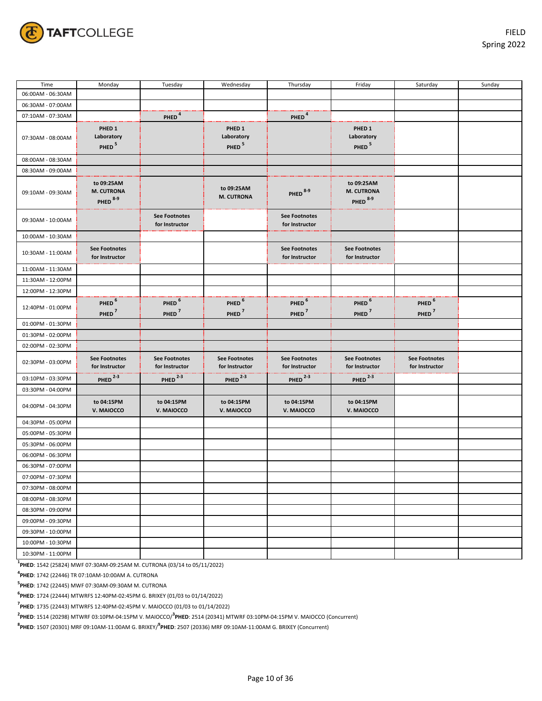

| Time              | Monday                                               | Tuesday                                | Wednesday                                            | Thursday                               | Friday                                                 | Saturday                               | Sunday |
|-------------------|------------------------------------------------------|----------------------------------------|------------------------------------------------------|----------------------------------------|--------------------------------------------------------|----------------------------------------|--------|
| 06:00AM - 06:30AM |                                                      |                                        |                                                      |                                        |                                                        |                                        |        |
| 06:30AM - 07:00AM |                                                      |                                        |                                                      |                                        |                                                        |                                        |        |
| 07:10AM - 07:30AM |                                                      | PHED <sup>4</sup>                      |                                                      | PHED <sup>4</sup>                      |                                                        |                                        |        |
| 07:30AM - 08:00AM | PHED <sub>1</sub><br>Laboratory<br>PHED <sup>5</sup> |                                        | PHED <sub>1</sub><br>Laboratory<br>PHED <sup>5</sup> |                                        | PHED <sub>1</sub><br>Laboratory<br>PHED <sup>5</sup>   |                                        |        |
| 08:00AM - 08:30AM |                                                      |                                        |                                                      |                                        |                                                        |                                        |        |
| 08:30AM - 09:00AM |                                                      |                                        |                                                      |                                        |                                                        |                                        |        |
| 09:10AM - 09:30AM | to 09:25AM<br>M. CUTRONA<br>PHED <sup>8-9</sup>      |                                        | to 09:25AM<br><b>M. CUTRONA</b>                      | PHED <sup>8-9</sup>                    | to 09:25AM<br><b>M. CUTRONA</b><br>PHED <sup>8-9</sup> |                                        |        |
| 09:30AM - 10:00AM |                                                      | <b>See Footnotes</b><br>for Instructor |                                                      | <b>See Footnotes</b><br>for Instructor |                                                        |                                        |        |
| 10:00AM - 10:30AM |                                                      |                                        |                                                      |                                        |                                                        |                                        |        |
| 10:30AM - 11:00AM | <b>See Footnotes</b><br>for Instructor               |                                        |                                                      | <b>See Footnotes</b><br>for Instructor | <b>See Footnotes</b><br>for Instructor                 |                                        |        |
| 11:00AM - 11:30AM |                                                      |                                        |                                                      |                                        |                                                        |                                        |        |
| 11:30AM - 12:00PM |                                                      |                                        |                                                      |                                        |                                                        |                                        |        |
| 12:00PM - 12:30PM |                                                      |                                        |                                                      |                                        |                                                        |                                        |        |
| 12:40PM - 01:00PM | PHED <sup>6</sup><br>PHED <sup>7</sup>               | PHED <sup>6</sup><br>PHED <sup>7</sup> | PHED <sup>6</sup><br>PHED <sup>7</sup>               | PHED <sup>6</sup><br>PHED <sup>7</sup> | PHED <sup>6</sup><br>PHED <sup>7</sup>                 | PHED <sup>6</sup><br>PHED <sup>7</sup> |        |
| 01:00PM - 01:30PM |                                                      |                                        |                                                      |                                        |                                                        |                                        |        |
| 01:30PM - 02:00PM |                                                      |                                        |                                                      |                                        |                                                        |                                        |        |
| 02:00PM - 02:30PM |                                                      |                                        |                                                      |                                        |                                                        |                                        |        |
| 02:30PM - 03:00PM | <b>See Footnotes</b><br>for Instructor               | <b>See Footnotes</b><br>for Instructor | <b>See Footnotes</b><br>for Instructor               | <b>See Footnotes</b><br>for Instructor | <b>See Footnotes</b><br>for Instructor                 | <b>See Footnotes</b><br>for Instructor |        |
| 03:10PM - 03:30PM | PHED $2-3$                                           | PHED $^{2-3}$                          | $PHED$ <sup>2-3</sup>                                | PHED $^{2-3}$                          | PHED $2-3$                                             |                                        |        |
| 03:30PM - 04:00PM |                                                      |                                        |                                                      |                                        |                                                        |                                        |        |
| 04:00PM - 04:30PM | to 04:15PM<br>V. MAIOCCO                             | to 04:15PM<br>V. MAIOCCO               | to 04:15PM<br>V. MAIOCCO                             | to 04:15PM<br>V. MAIOCCO               | to 04:15PM<br>V. MAIOCCO                               |                                        |        |
| 04:30PM - 05:00PM |                                                      |                                        |                                                      |                                        |                                                        |                                        |        |
| 05:00PM - 05:30PM |                                                      |                                        |                                                      |                                        |                                                        |                                        |        |
| 05:30PM - 06:00PM |                                                      |                                        |                                                      |                                        |                                                        |                                        |        |
| 06:00PM - 06:30PM |                                                      |                                        |                                                      |                                        |                                                        |                                        |        |
| 06:30PM - 07:00PM |                                                      |                                        |                                                      |                                        |                                                        |                                        |        |
| 07:00PM - 07:30PM |                                                      |                                        |                                                      |                                        |                                                        |                                        |        |
| 07:30PM - 08:00PM |                                                      |                                        |                                                      |                                        |                                                        |                                        |        |
| 08:00PM - 08:30PM |                                                      |                                        |                                                      |                                        |                                                        |                                        |        |
| 08:30PM - 09:00PM |                                                      |                                        |                                                      |                                        |                                                        |                                        |        |
| 09:00PM - 09:30PM |                                                      |                                        |                                                      |                                        |                                                        |                                        |        |
| 09:30PM - 10:00PM |                                                      |                                        |                                                      |                                        |                                                        |                                        |        |
| 10:00PM - 10:30PM |                                                      |                                        |                                                      |                                        |                                                        |                                        |        |
| 10:30PM - 11:00PM |                                                      |                                        |                                                      |                                        |                                                        |                                        |        |

**1 PHED**: 1542 (25824) MWF 07:30AM-09:25AM M. CUTRONA (03/14 to 05/11/2022)

**4 PHED**: 1742 (22446) TR 07:10AM-10:00AM A. CUTRONA

**5 PHED**: 1742 (22445) MWF 07:30AM-09:30AM M. CUTRONA

**6 PHED**: 1724 (22444) MTWRFS 12:40PM-02:45PM G. BRIXEY (01/03 to 01/14/2022)

**7 PHED**: 1735 (22443) MTWRFS 12:40PM-02:45PM V. MAIOCCO (01/03 to 01/14/2022)

**2 PHED**: 1514 (20298) MTWRF 03:10PM-04:15PM V. MAIOCCO/**<sup>3</sup> PHED**: 2514 (20341) MTWRF 03:10PM-04:15PM V. MAIOCCO (Concurrent)

**8 PHED**: 1507 (20301) MRF 09:10AM-11:00AM G. BRIXEY/**<sup>9</sup> PHED**: 2507 (20336) MRF 09:10AM-11:00AM G. BRIXEY (Concurrent)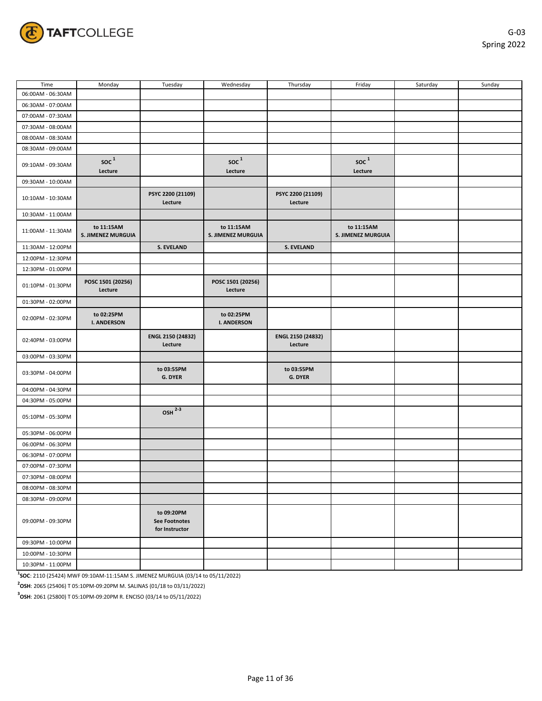

| Time              | Monday                                     | Tuesday                                              | Wednesday                         | Thursday                     | Friday                                     | Saturday | Sunday |
|-------------------|--------------------------------------------|------------------------------------------------------|-----------------------------------|------------------------------|--------------------------------------------|----------|--------|
| 06:00AM - 06:30AM |                                            |                                                      |                                   |                              |                                            |          |        |
| 06:30AM - 07:00AM |                                            |                                                      |                                   |                              |                                            |          |        |
| 07:00AM - 07:30AM |                                            |                                                      |                                   |                              |                                            |          |        |
| 07:30AM - 08:00AM |                                            |                                                      |                                   |                              |                                            |          |        |
| 08:00AM - 08:30AM |                                            |                                                      |                                   |                              |                                            |          |        |
| 08:30AM - 09:00AM |                                            |                                                      |                                   |                              |                                            |          |        |
| 09:10AM - 09:30AM | $\operatorname{soc}\nolimits^1$<br>Lecture |                                                      | $\operatorname{soc}^1$<br>Lecture |                              | $\operatorname{soc}\nolimits^1$<br>Lecture |          |        |
| 09:30AM - 10:00AM |                                            |                                                      |                                   |                              |                                            |          |        |
| 10:10AM - 10:30AM |                                            | PSYC 2200 (21109)<br>Lecture                         |                                   | PSYC 2200 (21109)<br>Lecture |                                            |          |        |
| 10:30AM - 11:00AM |                                            |                                                      |                                   |                              |                                            |          |        |
| 11:00AM - 11:30AM | to 11:15AM<br>S. JIMENEZ MURGUIA           |                                                      | to 11:15AM<br>S. JIMENEZ MURGUIA  |                              | to 11:15AM<br>S. JIMENEZ MURGUIA           |          |        |
| 11:30AM - 12:00PM |                                            | <b>S. EVELAND</b>                                    |                                   | <b>S. EVELAND</b>            |                                            |          |        |
| 12:00PM - 12:30PM |                                            |                                                      |                                   |                              |                                            |          |        |
| 12:30PM - 01:00PM |                                            |                                                      |                                   |                              |                                            |          |        |
| 01:10PM - 01:30PM | POSC 1501 (20256)<br>Lecture               |                                                      | POSC 1501 (20256)<br>Lecture      |                              |                                            |          |        |
| 01:30PM - 02:00PM |                                            |                                                      |                                   |                              |                                            |          |        |
| 02:00PM - 02:30PM | to 02:25PM<br><b>I. ANDERSON</b>           |                                                      | to 02:25PM<br><b>I. ANDERSON</b>  |                              |                                            |          |        |
| 02:40PM - 03:00PM |                                            | ENGL 2150 (24832)<br>Lecture                         |                                   | ENGL 2150 (24832)<br>Lecture |                                            |          |        |
| 03:00PM - 03:30PM |                                            |                                                      |                                   |                              |                                            |          |        |
| 03:30PM - 04:00PM |                                            | to 03:55PM<br>G. DYER                                |                                   | to 03:55PM<br>G. DYER        |                                            |          |        |
| 04:00PM - 04:30PM |                                            |                                                      |                                   |                              |                                            |          |        |
| 04:30PM - 05:00PM |                                            |                                                      |                                   |                              |                                            |          |        |
| 05:10PM - 05:30PM |                                            | $OSH$ <sup>2-3</sup>                                 |                                   |                              |                                            |          |        |
| 05:30PM - 06:00PM |                                            |                                                      |                                   |                              |                                            |          |        |
| 06:00PM - 06:30PM |                                            |                                                      |                                   |                              |                                            |          |        |
| 06:30PM - 07:00PM |                                            |                                                      |                                   |                              |                                            |          |        |
| 07:00PM - 07:30PM |                                            |                                                      |                                   |                              |                                            |          |        |
| 07:30PM - 08:00PM |                                            |                                                      |                                   |                              |                                            |          |        |
| 08:00PM - 08:30PM |                                            |                                                      |                                   |                              |                                            |          |        |
| 08:30PM - 09:00PM |                                            |                                                      |                                   |                              |                                            |          |        |
| 09:00PM - 09:30PM |                                            | to 09:20PM<br><b>See Footnotes</b><br>for Instructor |                                   |                              |                                            |          |        |
| 09:30PM - 10:00PM |                                            |                                                      |                                   |                              |                                            |          |        |
| 10:00PM - 10:30PM |                                            |                                                      |                                   |                              |                                            |          |        |
| 10:30PM - 11:00PM |                                            |                                                      |                                   |                              |                                            |          |        |

**1 SOC**: 2110 (25424) MWF 09:10AM-11:15AM S. JIMENEZ MURGUIA (03/14 to 05/11/2022)

**2 OSH**: 2065 (25406) T 05:10PM-09:20PM M. SALINAS (01/18 to 03/11/2022)

**3 OSH**: 2061 (25800) T 05:10PM-09:20PM R. ENCISO (03/14 to 05/11/2022)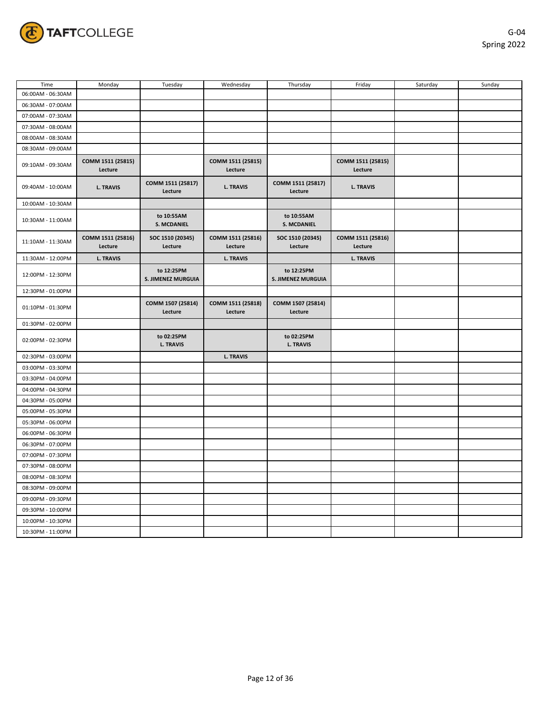

| Time              | Monday                       | Tuesday                                 | Wednesday                    | Thursday                                | Friday                       | Saturday | Sunday |
|-------------------|------------------------------|-----------------------------------------|------------------------------|-----------------------------------------|------------------------------|----------|--------|
| 06:00AM - 06:30AM |                              |                                         |                              |                                         |                              |          |        |
| 06:30AM - 07:00AM |                              |                                         |                              |                                         |                              |          |        |
| 07:00AM - 07:30AM |                              |                                         |                              |                                         |                              |          |        |
| 07:30AM - 08:00AM |                              |                                         |                              |                                         |                              |          |        |
| 08:00AM - 08:30AM |                              |                                         |                              |                                         |                              |          |        |
| 08:30AM - 09:00AM |                              |                                         |                              |                                         |                              |          |        |
| 09:10AM - 09:30AM | COMM 1511 (25815)<br>Lecture |                                         | COMM 1511 (25815)<br>Lecture |                                         | COMM 1511 (25815)<br>Lecture |          |        |
| 09:40AM - 10:00AM | <b>L. TRAVIS</b>             | COMM 1511 (25817)<br>Lecture            | <b>L. TRAVIS</b>             | COMM 1511 (25817)<br>Lecture            | <b>L. TRAVIS</b>             |          |        |
| 10:00AM - 10:30AM |                              |                                         |                              |                                         |                              |          |        |
| 10:30AM - 11:00AM |                              | to 10:55AM<br>S. MCDANIEL               |                              | to 10:55AM<br><b>S. MCDANIEL</b>        |                              |          |        |
| 11:10AM - 11:30AM | COMM 1511 (25816)<br>Lecture | SOC 1510 (20345)<br>Lecture             | COMM 1511 (25816)<br>Lecture | SOC 1510 (20345)<br>Lecture             | COMM 1511 (25816)<br>Lecture |          |        |
| 11:30AM - 12:00PM | <b>L. TRAVIS</b>             |                                         | <b>L. TRAVIS</b>             |                                         | <b>L. TRAVIS</b>             |          |        |
| 12:00PM - 12:30PM |                              | to 12:25PM<br><b>S. JIMENEZ MURGUIA</b> |                              | to 12:25PM<br><b>S. JIMENEZ MURGUIA</b> |                              |          |        |
| 12:30PM - 01:00PM |                              |                                         |                              |                                         |                              |          |        |
| 01:10PM - 01:30PM |                              | COMM 1507 (25814)<br>Lecture            | COMM 1511 (25818)<br>Lecture | COMM 1507 (25814)<br>Lecture            |                              |          |        |
| 01:30PM - 02:00PM |                              |                                         |                              |                                         |                              |          |        |
| 02:00PM - 02:30PM |                              | to 02:25PM<br><b>L. TRAVIS</b>          |                              | to 02:25PM<br><b>L. TRAVIS</b>          |                              |          |        |
| 02:30PM - 03:00PM |                              |                                         | <b>L. TRAVIS</b>             |                                         |                              |          |        |
| 03:00PM - 03:30PM |                              |                                         |                              |                                         |                              |          |        |
| 03:30PM - 04:00PM |                              |                                         |                              |                                         |                              |          |        |
| 04:00PM - 04:30PM |                              |                                         |                              |                                         |                              |          |        |
| 04:30PM - 05:00PM |                              |                                         |                              |                                         |                              |          |        |
| 05:00PM - 05:30PM |                              |                                         |                              |                                         |                              |          |        |
| 05:30PM - 06:00PM |                              |                                         |                              |                                         |                              |          |        |
| 06:00PM - 06:30PM |                              |                                         |                              |                                         |                              |          |        |
| 06:30PM - 07:00PM |                              |                                         |                              |                                         |                              |          |        |
| 07:00PM - 07:30PM |                              |                                         |                              |                                         |                              |          |        |
| 07:30PM - 08:00PM |                              |                                         |                              |                                         |                              |          |        |
| 08:00PM - 08:30PM |                              |                                         |                              |                                         |                              |          |        |
| 08:30PM - 09:00PM |                              |                                         |                              |                                         |                              |          |        |
| 09:00PM - 09:30PM |                              |                                         |                              |                                         |                              |          |        |
| 09:30PM - 10:00PM |                              |                                         |                              |                                         |                              |          |        |
| 10:00PM - 10:30PM |                              |                                         |                              |                                         |                              |          |        |
| 10:30PM - 11:00PM |                              |                                         |                              |                                         |                              |          |        |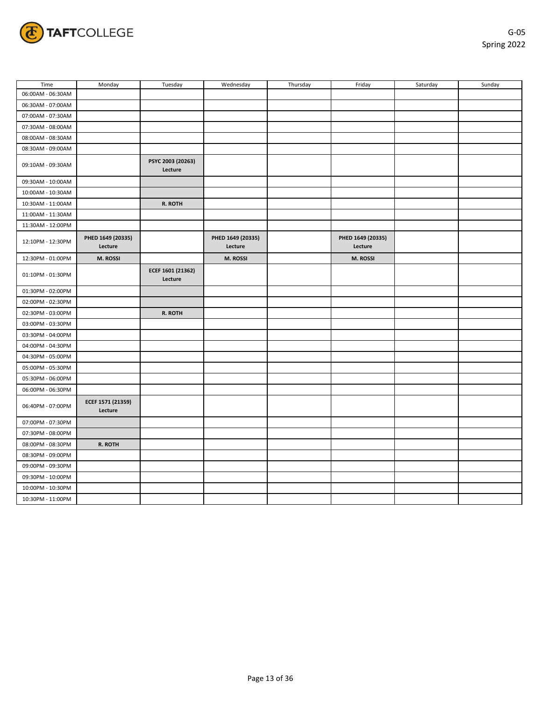

| Time              | Monday                       | Tuesday                      | Wednesday                    | Thursday | Friday                       | Saturday | Sunday |
|-------------------|------------------------------|------------------------------|------------------------------|----------|------------------------------|----------|--------|
| 06:00AM - 06:30AM |                              |                              |                              |          |                              |          |        |
| 06:30AM - 07:00AM |                              |                              |                              |          |                              |          |        |
| 07:00AM - 07:30AM |                              |                              |                              |          |                              |          |        |
| 07:30AM - 08:00AM |                              |                              |                              |          |                              |          |        |
| 08:00AM - 08:30AM |                              |                              |                              |          |                              |          |        |
| 08:30AM - 09:00AM |                              |                              |                              |          |                              |          |        |
| 09:10AM - 09:30AM |                              | PSYC 2003 (20263)<br>Lecture |                              |          |                              |          |        |
| 09:30AM - 10:00AM |                              |                              |                              |          |                              |          |        |
| 10:00AM - 10:30AM |                              |                              |                              |          |                              |          |        |
| 10:30AM - 11:00AM |                              | R. ROTH                      |                              |          |                              |          |        |
| 11:00AM - 11:30AM |                              |                              |                              |          |                              |          |        |
| 11:30AM - 12:00PM |                              |                              |                              |          |                              |          |        |
| 12:10PM - 12:30PM | PHED 1649 (20335)<br>Lecture |                              | PHED 1649 (20335)<br>Lecture |          | PHED 1649 (20335)<br>Lecture |          |        |
| 12:30PM - 01:00PM | M. ROSSI                     |                              | M. ROSSI                     |          | M. ROSSI                     |          |        |
| 01:10PM - 01:30PM |                              | ECEF 1601 (21362)<br>Lecture |                              |          |                              |          |        |
| 01:30PM - 02:00PM |                              |                              |                              |          |                              |          |        |
| 02:00PM - 02:30PM |                              |                              |                              |          |                              |          |        |
| 02:30PM - 03:00PM |                              | R. ROTH                      |                              |          |                              |          |        |
| 03:00PM - 03:30PM |                              |                              |                              |          |                              |          |        |
| 03:30PM - 04:00PM |                              |                              |                              |          |                              |          |        |
| 04:00PM - 04:30PM |                              |                              |                              |          |                              |          |        |
| 04:30PM - 05:00PM |                              |                              |                              |          |                              |          |        |
| 05:00PM - 05:30PM |                              |                              |                              |          |                              |          |        |
| 05:30PM - 06:00PM |                              |                              |                              |          |                              |          |        |
| 06:00PM - 06:30PM |                              |                              |                              |          |                              |          |        |
| 06:40PM - 07:00PM | ECEF 1571 (21359)<br>Lecture |                              |                              |          |                              |          |        |
| 07:00PM - 07:30PM |                              |                              |                              |          |                              |          |        |
| 07:30PM - 08:00PM |                              |                              |                              |          |                              |          |        |
| 08:00PM - 08:30PM | R. ROTH                      |                              |                              |          |                              |          |        |
| 08:30PM - 09:00PM |                              |                              |                              |          |                              |          |        |
| 09:00PM - 09:30PM |                              |                              |                              |          |                              |          |        |
| 09:30PM - 10:00PM |                              |                              |                              |          |                              |          |        |
| 10:00PM - 10:30PM |                              |                              |                              |          |                              |          |        |
| 10:30PM - 11:00PM |                              |                              |                              |          |                              |          |        |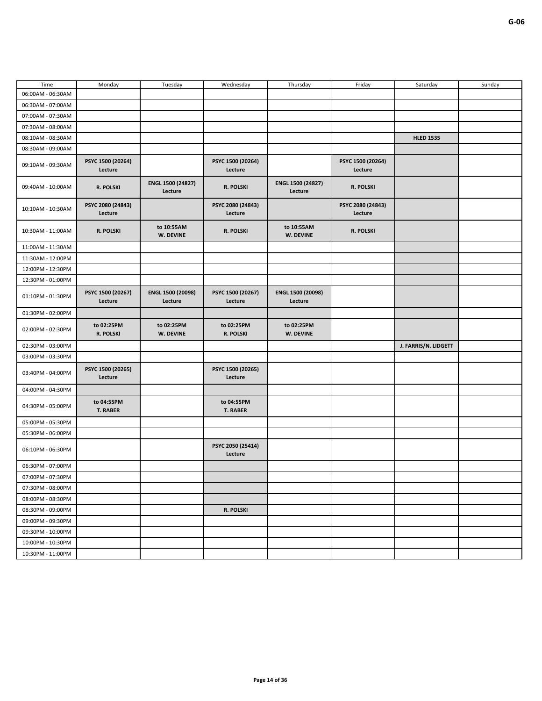| Time              | Monday                        | Tuesday                      | Wednesday                     | Thursday                     | Friday                       | Saturday             | Sunday |
|-------------------|-------------------------------|------------------------------|-------------------------------|------------------------------|------------------------------|----------------------|--------|
| 06:00AM - 06:30AM |                               |                              |                               |                              |                              |                      |        |
| 06:30AM - 07:00AM |                               |                              |                               |                              |                              |                      |        |
| 07:00AM - 07:30AM |                               |                              |                               |                              |                              |                      |        |
| 07:30AM - 08:00AM |                               |                              |                               |                              |                              |                      |        |
| 08:10AM - 08:30AM |                               |                              |                               |                              |                              | <b>HLED 1535</b>     |        |
| 08:30AM - 09:00AM |                               |                              |                               |                              |                              |                      |        |
| 09:10AM - 09:30AM | PSYC 1500 (20264)<br>Lecture  |                              | PSYC 1500 (20264)<br>Lecture  |                              | PSYC 1500 (20264)<br>Lecture |                      |        |
| 09:40AM - 10:00AM | R. POLSKI                     | ENGL 1500 (24827)<br>Lecture | R. POLSKI                     | ENGL 1500 (24827)<br>Lecture | R. POLSKI                    |                      |        |
| 10:10AM - 10:30AM | PSYC 2080 (24843)<br>Lecture  |                              | PSYC 2080 (24843)<br>Lecture  |                              | PSYC 2080 (24843)<br>Lecture |                      |        |
| 10:30AM - 11:00AM | R. POLSKI                     | to 10:55AM<br>W. DEVINE      | R. POLSKI                     | to 10:55AM<br>W. DEVINE      | R. POLSKI                    |                      |        |
| 11:00AM - 11:30AM |                               |                              |                               |                              |                              |                      |        |
| 11:30AM - 12:00PM |                               |                              |                               |                              |                              |                      |        |
| 12:00PM - 12:30PM |                               |                              |                               |                              |                              |                      |        |
| 12:30PM - 01:00PM |                               |                              |                               |                              |                              |                      |        |
| 01:10PM - 01:30PM | PSYC 1500 (20267)<br>Lecture  | ENGL 1500 (20098)<br>Lecture | PSYC 1500 (20267)<br>Lecture  | ENGL 1500 (20098)<br>Lecture |                              |                      |        |
| 01:30PM - 02:00PM |                               |                              |                               |                              |                              |                      |        |
| 02:00PM - 02:30PM | to 02:25PM<br>R. POLSKI       | to 02:25PM<br>W. DEVINE      | to 02:25PM<br>R. POLSKI       | to 02:25PM<br>W. DEVINE      |                              |                      |        |
| 02:30PM - 03:00PM |                               |                              |                               |                              |                              | J. FARRIS/N. LIDGETT |        |
| 03:00PM - 03:30PM |                               |                              |                               |                              |                              |                      |        |
| 03:40PM - 04:00PM | PSYC 1500 (20265)<br>Lecture  |                              | PSYC 1500 (20265)<br>Lecture  |                              |                              |                      |        |
|                   |                               |                              |                               |                              |                              |                      |        |
| 04:00PM - 04:30PM |                               |                              |                               |                              |                              |                      |        |
| 04:30PM - 05:00PM | to 04:55PM<br><b>T. RABER</b> |                              | to 04:55PM<br><b>T. RABER</b> |                              |                              |                      |        |
| 05:00PM - 05:30PM |                               |                              |                               |                              |                              |                      |        |
| 05:30PM - 06:00PM |                               |                              |                               |                              |                              |                      |        |
| 06:10PM - 06:30PM |                               |                              | PSYC 2050 (25414)<br>Lecture  |                              |                              |                      |        |
| 06:30PM - 07:00PM |                               |                              |                               |                              |                              |                      |        |
| 07:00PM - 07:30PM |                               |                              |                               |                              |                              |                      |        |
| 07:30PM - 08:00PM |                               |                              |                               |                              |                              |                      |        |
| 08:00PM - 08:30PM |                               |                              |                               |                              |                              |                      |        |
| 08:30PM - 09:00PM |                               |                              | R. POLSKI                     |                              |                              |                      |        |
| 09:00PM - 09:30PM |                               |                              |                               |                              |                              |                      |        |
| 09:30PM - 10:00PM |                               |                              |                               |                              |                              |                      |        |
| 10:00PM - 10:30PM |                               |                              |                               |                              |                              |                      |        |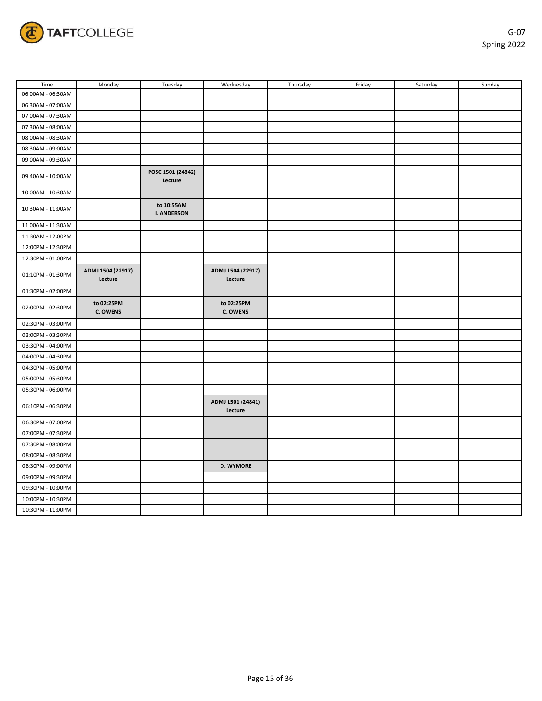

| Time              | Monday                        | Tuesday                          | Wednesday                     | Thursday | Friday | Saturday | Sunday |
|-------------------|-------------------------------|----------------------------------|-------------------------------|----------|--------|----------|--------|
| 06:00AM - 06:30AM |                               |                                  |                               |          |        |          |        |
| 06:30AM - 07:00AM |                               |                                  |                               |          |        |          |        |
| 07:00AM - 07:30AM |                               |                                  |                               |          |        |          |        |
| 07:30AM - 08:00AM |                               |                                  |                               |          |        |          |        |
| 08:00AM - 08:30AM |                               |                                  |                               |          |        |          |        |
| 08:30AM - 09:00AM |                               |                                  |                               |          |        |          |        |
| 09:00AM - 09:30AM |                               |                                  |                               |          |        |          |        |
| 09:40AM - 10:00AM |                               | POSC 1501 (24842)<br>Lecture     |                               |          |        |          |        |
| 10:00AM - 10:30AM |                               |                                  |                               |          |        |          |        |
| 10:30AM - 11:00AM |                               | to 10:55AM<br><b>I. ANDERSON</b> |                               |          |        |          |        |
| 11:00AM - 11:30AM |                               |                                  |                               |          |        |          |        |
| 11:30AM - 12:00PM |                               |                                  |                               |          |        |          |        |
| 12:00PM - 12:30PM |                               |                                  |                               |          |        |          |        |
| 12:30PM - 01:00PM |                               |                                  |                               |          |        |          |        |
| 01:10PM - 01:30PM | ADMJ 1504 (22917)<br>Lecture  |                                  | ADMJ 1504 (22917)<br>Lecture  |          |        |          |        |
| 01:30PM - 02:00PM |                               |                                  |                               |          |        |          |        |
| 02:00PM - 02:30PM | to 02:25PM<br><b>C. OWENS</b> |                                  | to 02:25PM<br><b>C. OWENS</b> |          |        |          |        |
| 02:30PM - 03:00PM |                               |                                  |                               |          |        |          |        |
| 03:00PM - 03:30PM |                               |                                  |                               |          |        |          |        |
| 03:30PM - 04:00PM |                               |                                  |                               |          |        |          |        |
| 04:00PM - 04:30PM |                               |                                  |                               |          |        |          |        |
| 04:30PM - 05:00PM |                               |                                  |                               |          |        |          |        |
| 05:00PM - 05:30PM |                               |                                  |                               |          |        |          |        |
| 05:30PM - 06:00PM |                               |                                  |                               |          |        |          |        |
| 06:10PM - 06:30PM |                               |                                  | ADMJ 1501 (24841)<br>Lecture  |          |        |          |        |
| 06:30PM - 07:00PM |                               |                                  |                               |          |        |          |        |
| 07:00PM - 07:30PM |                               |                                  |                               |          |        |          |        |
| 07:30PM - 08:00PM |                               |                                  |                               |          |        |          |        |
| 08:00PM - 08:30PM |                               |                                  |                               |          |        |          |        |
| 08:30PM - 09:00PM |                               |                                  | <b>D. WYMORE</b>              |          |        |          |        |
| 09:00PM - 09:30PM |                               |                                  |                               |          |        |          |        |
| 09:30PM - 10:00PM |                               |                                  |                               |          |        |          |        |
| 10:00PM - 10:30PM |                               |                                  |                               |          |        |          |        |
| 10:30PM - 11:00PM |                               |                                  |                               |          |        |          |        |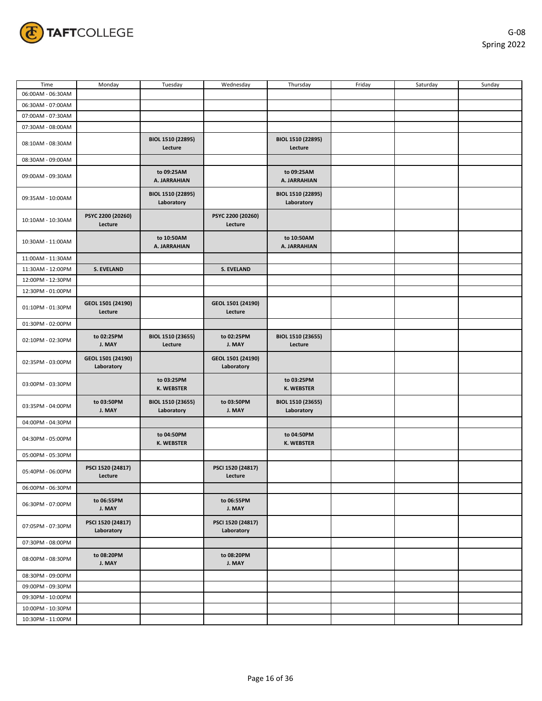

| Time              | Monday                          | Tuesday                         | Wednesday                       | Thursday                        | Friday | Saturday | Sunday |
|-------------------|---------------------------------|---------------------------------|---------------------------------|---------------------------------|--------|----------|--------|
| 06:00AM - 06:30AM |                                 |                                 |                                 |                                 |        |          |        |
| 06:30AM - 07:00AM |                                 |                                 |                                 |                                 |        |          |        |
| 07:00AM - 07:30AM |                                 |                                 |                                 |                                 |        |          |        |
| 07:30AM - 08:00AM |                                 |                                 |                                 |                                 |        |          |        |
|                   |                                 |                                 |                                 | BIOL 1510 (22895)               |        |          |        |
| 08:10AM - 08:30AM |                                 | BIOL 1510 (22895)<br>Lecture    |                                 | Lecture                         |        |          |        |
| 08:30AM - 09:00AM |                                 |                                 |                                 |                                 |        |          |        |
| 09:00AM - 09:30AM |                                 | to 09:25AM<br>A. JARRAHIAN      |                                 | to 09:25AM<br>A. JARRAHIAN      |        |          |        |
| 09:35AM - 10:00AM |                                 | BIOL 1510 (22895)<br>Laboratory |                                 | BIOL 1510 (22895)<br>Laboratory |        |          |        |
| 10:10AM - 10:30AM | PSYC 2200 (20260)<br>Lecture    |                                 | PSYC 2200 (20260)<br>Lecture    |                                 |        |          |        |
| 10:30AM - 11:00AM |                                 | to 10:50AM<br>A. JARRAHIAN      |                                 | to 10:50AM<br>A. JARRAHIAN      |        |          |        |
| 11:00AM - 11:30AM |                                 |                                 |                                 |                                 |        |          |        |
| 11:30AM - 12:00PM | <b>S. EVELAND</b>               |                                 | <b>S. EVELAND</b>               |                                 |        |          |        |
| 12:00PM - 12:30PM |                                 |                                 |                                 |                                 |        |          |        |
| 12:30PM - 01:00PM |                                 |                                 |                                 |                                 |        |          |        |
| 01:10PM - 01:30PM | GEOL 1501 (24190)<br>Lecture    |                                 | GEOL 1501 (24190)<br>Lecture    |                                 |        |          |        |
| 01:30PM - 02:00PM |                                 |                                 |                                 |                                 |        |          |        |
| 02:10PM - 02:30PM | to 02:25PM<br>J. MAY            | BIOL 1510 (23655)<br>Lecture    | to 02:25PM<br>J. MAY            | BIOL 1510 (23655)<br>Lecture    |        |          |        |
| 02:35PM - 03:00PM | GEOL 1501 (24190)<br>Laboratory |                                 | GEOL 1501 (24190)<br>Laboratory |                                 |        |          |        |
| 03:00PM - 03:30PM |                                 | to 03:25PM<br><b>K. WEBSTER</b> |                                 | to 03:25PM<br>K. WEBSTER        |        |          |        |
| 03:35PM - 04:00PM | to 03:50PM<br>J. MAY            | BIOL 1510 (23655)<br>Laboratory | to 03:50PM<br>J. MAY            | BIOL 1510 (23655)<br>Laboratory |        |          |        |
| 04:00PM - 04:30PM |                                 |                                 |                                 |                                 |        |          |        |
| 04:30PM - 05:00PM |                                 | to 04:50PM<br><b>K. WEBSTER</b> |                                 | to 04:50PM<br>K. WEBSTER        |        |          |        |
| 05:00PM - 05:30PM |                                 |                                 |                                 |                                 |        |          |        |
| 05:40PM - 06:00PM | PSCI 1520 (24817)<br>Lecture    |                                 | PSCI 1520 (24817)<br>Lecture    |                                 |        |          |        |
| 06:00PM - 06:30PM |                                 |                                 |                                 |                                 |        |          |        |
| 06:30PM - 07:00PM | to 06:55PM<br>J. MAY            |                                 | to 06:55PM<br>J. MAY            |                                 |        |          |        |
| 07:05PM - 07:30PM | PSCI 1520 (24817)<br>Laboratory |                                 | PSCI 1520 (24817)<br>Laboratory |                                 |        |          |        |
| 07:30PM - 08:00PM |                                 |                                 |                                 |                                 |        |          |        |
| 08:00PM - 08:30PM | to 08:20PM<br>J. MAY            |                                 | to 08:20PM<br>J. MAY            |                                 |        |          |        |
| 08:30PM - 09:00PM |                                 |                                 |                                 |                                 |        |          |        |
| 09:00PM - 09:30PM |                                 |                                 |                                 |                                 |        |          |        |
| 09:30PM - 10:00PM |                                 |                                 |                                 |                                 |        |          |        |
| 10:00PM - 10:30PM |                                 |                                 |                                 |                                 |        |          |        |
| 10:30PM - 11:00PM |                                 |                                 |                                 |                                 |        |          |        |
|                   |                                 |                                 |                                 |                                 |        |          |        |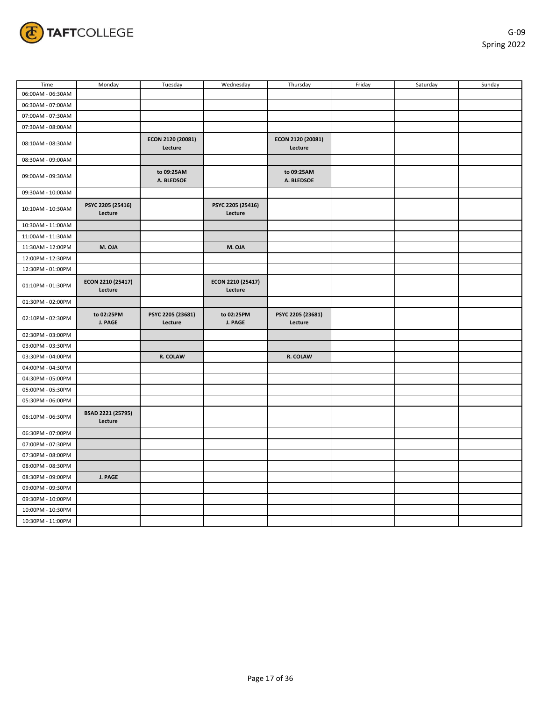

| Time              | Monday                       | Tuesday                      | Wednesday                    | Thursday                     | Friday | Saturday | Sunday |
|-------------------|------------------------------|------------------------------|------------------------------|------------------------------|--------|----------|--------|
| 06:00AM - 06:30AM |                              |                              |                              |                              |        |          |        |
| 06:30AM - 07:00AM |                              |                              |                              |                              |        |          |        |
| 07:00AM - 07:30AM |                              |                              |                              |                              |        |          |        |
| 07:30AM - 08:00AM |                              |                              |                              |                              |        |          |        |
| 08:10AM - 08:30AM |                              | ECON 2120 (20081)<br>Lecture |                              | ECON 2120 (20081)<br>Lecture |        |          |        |
| 08:30AM - 09:00AM |                              |                              |                              |                              |        |          |        |
| 09:00AM - 09:30AM |                              | to 09:25AM<br>A. BLEDSOE     |                              | to 09:25AM<br>A. BLEDSOE     |        |          |        |
| 09:30AM - 10:00AM |                              |                              |                              |                              |        |          |        |
| 10:10AM - 10:30AM | PSYC 2205 (25416)<br>Lecture |                              | PSYC 2205 (25416)<br>Lecture |                              |        |          |        |
| 10:30AM - 11:00AM |                              |                              |                              |                              |        |          |        |
| 11:00AM - 11:30AM |                              |                              |                              |                              |        |          |        |
| 11:30AM - 12:00PM | M. OJA                       |                              | M. OJA                       |                              |        |          |        |
| 12:00PM - 12:30PM |                              |                              |                              |                              |        |          |        |
| 12:30PM - 01:00PM |                              |                              |                              |                              |        |          |        |
| 01:10PM - 01:30PM | ECON 2210 (25417)<br>Lecture |                              | ECON 2210 (25417)<br>Lecture |                              |        |          |        |
| 01:30PM - 02:00PM |                              |                              |                              |                              |        |          |        |
| 02:10PM - 02:30PM | to 02:25PM<br>J. PAGE        | PSYC 2205 (23681)<br>Lecture | to 02:25PM<br>J. PAGE        | PSYC 2205 (23681)<br>Lecture |        |          |        |
| 02:30PM - 03:00PM |                              |                              |                              |                              |        |          |        |
| 03:00PM - 03:30PM |                              |                              |                              |                              |        |          |        |
| 03:30PM - 04:00PM |                              | R. COLAW                     |                              | R. COLAW                     |        |          |        |
| 04:00PM - 04:30PM |                              |                              |                              |                              |        |          |        |
| 04:30PM - 05:00PM |                              |                              |                              |                              |        |          |        |
| 05:00PM - 05:30PM |                              |                              |                              |                              |        |          |        |
| 05:30PM - 06:00PM |                              |                              |                              |                              |        |          |        |
| 06:10PM - 06:30PM | BSAD 2221 (25795)<br>Lecture |                              |                              |                              |        |          |        |
| 06:30PM - 07:00PM |                              |                              |                              |                              |        |          |        |
| 07:00PM - 07:30PM |                              |                              |                              |                              |        |          |        |
| 07:30PM - 08:00PM |                              |                              |                              |                              |        |          |        |
| 08:00PM - 08:30PM |                              |                              |                              |                              |        |          |        |
| 08:30PM - 09:00PM | J. PAGE                      |                              |                              |                              |        |          |        |
| 09:00PM - 09:30PM |                              |                              |                              |                              |        |          |        |
| 09:30PM - 10:00PM |                              |                              |                              |                              |        |          |        |
| 10:00PM - 10:30PM |                              |                              |                              |                              |        |          |        |
| 10:30PM - 11:00PM |                              |                              |                              |                              |        |          |        |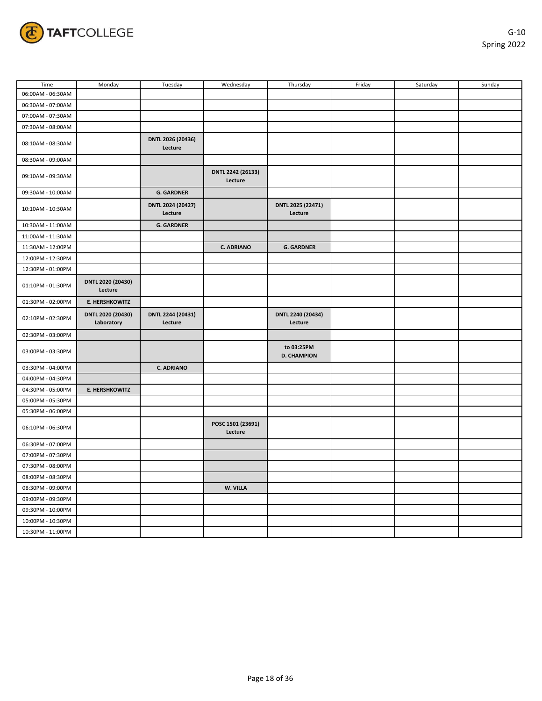

| Time              | Monday                          | Tuesday                      | Wednesday                    | Thursday                         | Friday | Saturday | Sunday |
|-------------------|---------------------------------|------------------------------|------------------------------|----------------------------------|--------|----------|--------|
| 06:00AM - 06:30AM |                                 |                              |                              |                                  |        |          |        |
| 06:30AM - 07:00AM |                                 |                              |                              |                                  |        |          |        |
| 07:00AM - 07:30AM |                                 |                              |                              |                                  |        |          |        |
| 07:30AM - 08:00AM |                                 |                              |                              |                                  |        |          |        |
| 08:10AM - 08:30AM |                                 | DNTL 2026 (20436)<br>Lecture |                              |                                  |        |          |        |
| 08:30AM - 09:00AM |                                 |                              |                              |                                  |        |          |        |
| 09:10AM - 09:30AM |                                 |                              | DNTL 2242 (26133)<br>Lecture |                                  |        |          |        |
| 09:30AM - 10:00AM |                                 | <b>G. GARDNER</b>            |                              |                                  |        |          |        |
| 10:10AM - 10:30AM |                                 | DNTL 2024 (20427)<br>Lecture |                              | DNTL 2025 (22471)<br>Lecture     |        |          |        |
| 10:30AM - 11:00AM |                                 | <b>G. GARDNER</b>            |                              |                                  |        |          |        |
| 11:00AM - 11:30AM |                                 |                              |                              |                                  |        |          |        |
| 11:30AM - 12:00PM |                                 |                              | <b>C. ADRIANO</b>            | <b>G. GARDNER</b>                |        |          |        |
| 12:00PM - 12:30PM |                                 |                              |                              |                                  |        |          |        |
| 12:30PM - 01:00PM |                                 |                              |                              |                                  |        |          |        |
| 01:10PM - 01:30PM | DNTL 2020 (20430)<br>Lecture    |                              |                              |                                  |        |          |        |
| 01:30PM - 02:00PM | <b>E. HERSHKOWITZ</b>           |                              |                              |                                  |        |          |        |
| 02:10PM - 02:30PM | DNTL 2020 (20430)<br>Laboratory | DNTL 2244 (20431)<br>Lecture |                              | DNTL 2240 (20434)<br>Lecture     |        |          |        |
| 02:30PM - 03:00PM |                                 |                              |                              |                                  |        |          |        |
| 03:00PM - 03:30PM |                                 |                              |                              | to 03:25PM<br><b>D. CHAMPION</b> |        |          |        |
| 03:30PM - 04:00PM |                                 | <b>C. ADRIANO</b>            |                              |                                  |        |          |        |
| 04:00PM - 04:30PM |                                 |                              |                              |                                  |        |          |        |
| 04:30PM - 05:00PM | <b>E. HERSHKOWITZ</b>           |                              |                              |                                  |        |          |        |
| 05:00PM - 05:30PM |                                 |                              |                              |                                  |        |          |        |
| 05:30PM - 06:00PM |                                 |                              |                              |                                  |        |          |        |
| 06:10PM - 06:30PM |                                 |                              | POSC 1501 (23691)<br>Lecture |                                  |        |          |        |
| 06:30PM - 07:00PM |                                 |                              |                              |                                  |        |          |        |
| 07:00PM - 07:30PM |                                 |                              |                              |                                  |        |          |        |
| 07:30PM - 08:00PM |                                 |                              |                              |                                  |        |          |        |
| 08:00PM - 08:30PM |                                 |                              |                              |                                  |        |          |        |
| 08:30PM - 09:00PM |                                 |                              | W. VILLA                     |                                  |        |          |        |
| 09:00PM - 09:30PM |                                 |                              |                              |                                  |        |          |        |
| 09:30PM - 10:00PM |                                 |                              |                              |                                  |        |          |        |
| 10:00PM - 10:30PM |                                 |                              |                              |                                  |        |          |        |
| 10:30PM - 11:00PM |                                 |                              |                              |                                  |        |          |        |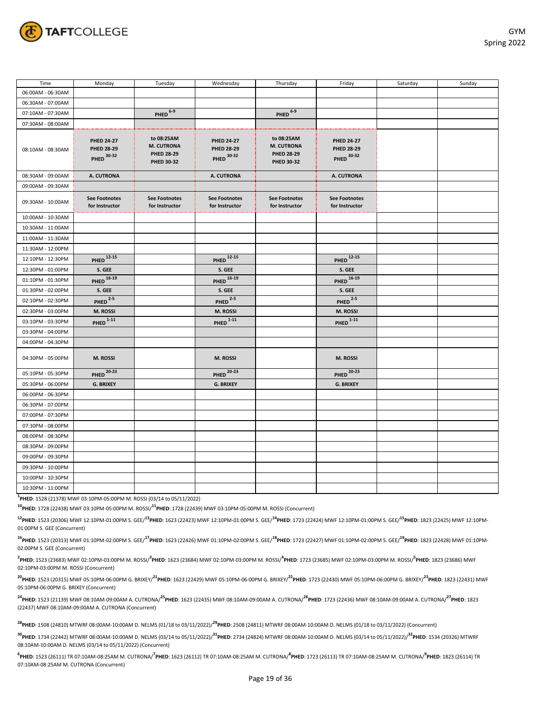

| Time              | Monday                                               | Tuesday                                                     | Wednesday                                            | Thursday                                                    | Friday                                        | Saturday | Sunday |
|-------------------|------------------------------------------------------|-------------------------------------------------------------|------------------------------------------------------|-------------------------------------------------------------|-----------------------------------------------|----------|--------|
| 06:00AM - 06:30AM |                                                      |                                                             |                                                      |                                                             |                                               |          |        |
| 06:30AM - 07:00AM |                                                      |                                                             |                                                      |                                                             |                                               |          |        |
| 07:10AM - 07:30AM |                                                      | PHED <sup>6-9</sup>                                         |                                                      | $PHED$ <sup>6-9</sup>                                       |                                               |          |        |
| 07:30AM - 08:00AM |                                                      |                                                             |                                                      |                                                             |                                               |          |        |
| 08:10AM - 08:30AM | <b>PHED 24-27</b><br><b>PHED 28-29</b><br>PHED 30-32 | to 08:25AM<br>M. CUTRONA<br><b>PHED 28-29</b><br>PHED 30-32 | <b>PHED 24-27</b><br><b>PHED 28-29</b><br>PHED 30-32 | to 08:25AM<br>M. CUTRONA<br><b>PHED 28-29</b><br>PHED 30-32 | <b>PHED 24-27</b><br>PHED 28-29<br>PHED 30-32 |          |        |
| 08:30AM - 09:00AM | A. CUTRONA                                           |                                                             | A. CUTRONA                                           |                                                             | A. CUTRONA                                    |          |        |
| 09:00AM - 09:30AM |                                                      |                                                             |                                                      |                                                             |                                               |          |        |
| 09:30AM - 10:00AM | <b>See Footnotes</b><br>for Instructor               | <b>See Footnotes</b><br>for Instructor                      | <b>See Footnotes</b><br>for Instructor               | <b>See Footnotes</b><br>for Instructor                      | <b>See Footnotes</b><br>for Instructor        |          |        |
| 10:00AM - 10:30AM |                                                      |                                                             |                                                      |                                                             |                                               |          |        |
| 10:30AM - 11:00AM |                                                      |                                                             |                                                      |                                                             |                                               |          |        |
| 11:00AM - 11:30AM |                                                      |                                                             |                                                      |                                                             |                                               |          |        |
| 11:30AM - 12:00PM |                                                      |                                                             |                                                      |                                                             |                                               |          |        |
| 12:10PM - 12:30PM | <b>PHED</b> 12-15                                    |                                                             | <b>PHED</b> 12-15                                    |                                                             | <b>PHED</b> 12-15                             |          |        |
| 12:30PM - 01:00PM | S. GEE                                               |                                                             | S. GEE                                               |                                                             | S. GEE                                        |          |        |
| 01:10PM - 01:30PM | <b>PHED</b> 16-19                                    |                                                             | <b>PHED</b> 16-19                                    |                                                             | <b>PHED</b> 16-19                             |          |        |
| 01:30PM - 02:00PM | S. GEE                                               |                                                             | S. GEE                                               |                                                             | S. GEE                                        |          |        |
| 02:10PM - 02:30PM | $PHED$ <sup>2-5</sup>                                |                                                             | $PHED$ <sup>2-5</sup>                                |                                                             | $PHED$ <sup>2-5</sup>                         |          |        |
| 02:30PM - 03:00PM | M. ROSSI                                             |                                                             | M. ROSSI                                             |                                                             | M. ROSSI                                      |          |        |
| 03:10PM - 03:30PM | $PHED$ <sup>1-11</sup>                               |                                                             | PHED $1-11$                                          |                                                             | $PHED$ <sup>1-11</sup>                        |          |        |
| 03:30PM - 04:00PM |                                                      |                                                             |                                                      |                                                             |                                               |          |        |
| 04:00PM - 04:30PM |                                                      |                                                             |                                                      |                                                             |                                               |          |        |
| 04:30PM - 05:00PM | M. ROSSI                                             |                                                             | M. ROSSI                                             |                                                             | M. ROSSI                                      |          |        |
| 05:10PM - 05:30PM | <b>PHED</b> 20-23                                    |                                                             | <b>PHED</b> 20-23                                    |                                                             | <b>PHED</b> 20-23                             |          |        |
| 05:30PM - 06:00PM | G. BRIXEY                                            |                                                             | <b>G. BRIXEY</b>                                     |                                                             | <b>G. BRIXEY</b>                              |          |        |
| 06:00PM - 06:30PM |                                                      |                                                             |                                                      |                                                             |                                               |          |        |
| 06:30PM - 07:00PM |                                                      |                                                             |                                                      |                                                             |                                               |          |        |
| 07:00PM - 07:30PM |                                                      |                                                             |                                                      |                                                             |                                               |          |        |
| 07:30PM - 08:00PM |                                                      |                                                             |                                                      |                                                             |                                               |          |        |
| 08:00PM - 08:30PM |                                                      |                                                             |                                                      |                                                             |                                               |          |        |
| 08:30PM - 09:00PM |                                                      |                                                             |                                                      |                                                             |                                               |          |        |
| 09:00PM - 09:30PM |                                                      |                                                             |                                                      |                                                             |                                               |          |        |
| 09:30PM - 10:00PM |                                                      |                                                             |                                                      |                                                             |                                               |          |        |
| 10:00PM - 10:30PM |                                                      |                                                             |                                                      |                                                             |                                               |          |        |
| 10:30PM - 11:00PM |                                                      |                                                             |                                                      |                                                             |                                               |          |        |

**1 PHED**: 1528 (21378) MWF 03:10PM-05:00PM M. ROSSI (03/14 to 05/11/2022)

**<sup>10</sup>PHED**: 1728 (22438) MWF 03:10PM-05:00PM M. ROSSI/**11PHED**: 1728 (22439) MWF 03:10PM-05:00PM M. ROSSI (Concurrent)

<sup>12</sup>PHED: 1523 (20306) MWF 12:10PM-01:00PM S. GEE/<sup>13</sup>PHED: 1623 (22423) MWF 12:10PM-01:00PM S. GEE/<sup>14</sup>PHED: 1723 (22424) MWF 12:10PM-01:00PM S. GEE/<sup>15</sup>PHED: 1823 (22425) MWF 12:10PM-01:00PM S. GEE (Concurrent)

<sup>16</sup>PHED: 1523 (20313) MWF 01:10PM-02:00PM S. GEE/<sup>17</sup>PHED: 1623 (22426) MWF 01:10PM-02:00PM S. GEE/<sup>18</sup>PHED: 1723 (22427) MWF 01:10PM-02:00PM S. GEE/<sup>19</sup>PHED: 1823 (22428) MWF 01:10PM-02:00PM S. GEE (Concurrent)

<sup>2</sup>PHED: 1523 (23683) MWF 02:10PM-03:00PM M. ROSSI/<sup>3</sup>PHED: 1623 (23684) MWF 02:10PM-03:00PM M. ROSSI/<sup>4</sup>PHED: 1723 (23685) MWF 02:10PM-03:00PM M. ROSSI/<sup>5</sup>PHED: 1823 (23686) MWF 02:10PM-03:00PM M. ROSSI (Concurrent)

<sup>20</sup>PHED: 1523 (20315) MWF 05:10PM-06:00PM G. BRIXEY/<sup>21</sup>PHED: 1623 (22429) MWF 05:10PM-06:00PM G. BRIXEY/<sup>22</sup>PHED: 1723 (22430) MWF 05:10PM-06:00PM G. BRIXEY/<sup>23</sup>PHED: 1823 (22431) MWF 05:10PM-06:00PM G. BRIXEY (Concurrent)

**<sup>24</sup>PHED**: 1523 (21139) MWF 08:10AM-09:00AM A. CUTRONA/**25PHED**: 1623 (22435) MWF 08:10AM-09:00AM A. CUTRONA/**26PHED**: 1723 (22436) MWF 08:10AM-09:00AM A. CUTRONA/**27PHED**: 1823 (22437) MWF 08:10AM-09:00AM A. CUTRONA (Concurrent)

**<sup>28</sup>PHED**: 1508 (24810) MTWRF 08:00AM-10:00AM D. NELMS (01/18 to 03/11/2022)/**29PHED**: 2508 (24811) MTWRF 08:00AM-10:00AM D. NELMS (01/18 to 03/11/2022) (Concurrent)

**<sup>30</sup>PHED**: 1734 (22442) MTWRF 08:00AM-10:00AM D. NELMS (03/14 to 05/11/2022)/**31PHED**: 2734 (24824) MTWRF 08:00AM-10:00AM D. NELMS (03/14 to 05/11/2022)/**32PHED**: 1534 (20326) MTWRF 08:10AM-10:00AM D. NELMS (03/14 to 05/11/2022) (Concurrent)

<sup>6</sup>PHED: 1523 (26111) TR 07:10AM-08:25AM M. CUTRONA/<sup>7</sup>PHED: 1623 (26112) TR 07:10AM-08:25AM M. CUTRONA/<sup>8</sup>PHED: 1723 (26113) TR 07:10AM-08:25AM M. CUTRONA/<sup>9</sup>PHED: 1823 (26114) TR 07:10AM-08:25AM M. CUTRONA (Concurrent)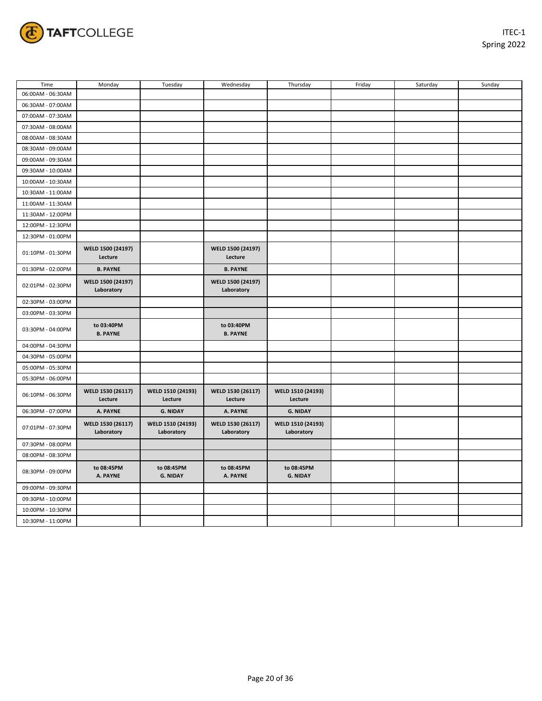

| Time              | Monday                          | Tuesday                         | Wednesday                       | Thursday                        | Friday | Saturday | Sunday |
|-------------------|---------------------------------|---------------------------------|---------------------------------|---------------------------------|--------|----------|--------|
| 06:00AM - 06:30AM |                                 |                                 |                                 |                                 |        |          |        |
| 06:30AM - 07:00AM |                                 |                                 |                                 |                                 |        |          |        |
| 07:00AM - 07:30AM |                                 |                                 |                                 |                                 |        |          |        |
| 07:30AM - 08:00AM |                                 |                                 |                                 |                                 |        |          |        |
| 08:00AM - 08:30AM |                                 |                                 |                                 |                                 |        |          |        |
| 08:30AM - 09:00AM |                                 |                                 |                                 |                                 |        |          |        |
| 09:00AM - 09:30AM |                                 |                                 |                                 |                                 |        |          |        |
| 09:30AM - 10:00AM |                                 |                                 |                                 |                                 |        |          |        |
| 10:00AM - 10:30AM |                                 |                                 |                                 |                                 |        |          |        |
| 10:30AM - 11:00AM |                                 |                                 |                                 |                                 |        |          |        |
| 11:00AM - 11:30AM |                                 |                                 |                                 |                                 |        |          |        |
| 11:30AM - 12:00PM |                                 |                                 |                                 |                                 |        |          |        |
| 12:00PM - 12:30PM |                                 |                                 |                                 |                                 |        |          |        |
| 12:30PM - 01:00PM |                                 |                                 |                                 |                                 |        |          |        |
| 01:10PM - 01:30PM | WELD 1500 (24197)<br>Lecture    |                                 | WELD 1500 (24197)<br>Lecture    |                                 |        |          |        |
| 01:30PM - 02:00PM | <b>B. PAYNE</b>                 |                                 | <b>B. PAYNE</b>                 |                                 |        |          |        |
| 02:01PM - 02:30PM | WELD 1500 (24197)<br>Laboratory |                                 | WELD 1500 (24197)<br>Laboratory |                                 |        |          |        |
| 02:30PM - 03:00PM |                                 |                                 |                                 |                                 |        |          |        |
| 03:00PM - 03:30PM |                                 |                                 |                                 |                                 |        |          |        |
| 03:30PM - 04:00PM | to 03:40PM<br><b>B. PAYNE</b>   |                                 | to 03:40PM<br><b>B. PAYNE</b>   |                                 |        |          |        |
| 04:00PM - 04:30PM |                                 |                                 |                                 |                                 |        |          |        |
| 04:30PM - 05:00PM |                                 |                                 |                                 |                                 |        |          |        |
| 05:00PM - 05:30PM |                                 |                                 |                                 |                                 |        |          |        |
| 05:30PM - 06:00PM |                                 |                                 |                                 |                                 |        |          |        |
| 06:10PM - 06:30PM | WELD 1530 (26117)<br>Lecture    | WELD 1510 (24193)<br>Lecture    | WELD 1530 (26117)<br>Lecture    | WELD 1510 (24193)<br>Lecture    |        |          |        |
| 06:30PM - 07:00PM | A. PAYNE                        | <b>G. NIDAY</b>                 | A. PAYNE                        | <b>G. NIDAY</b>                 |        |          |        |
| 07:01PM - 07:30PM | WELD 1530 (26117)<br>Laboratory | WELD 1510 (24193)<br>Laboratory | WELD 1530 (26117)<br>Laboratory | WELD 1510 (24193)<br>Laboratory |        |          |        |
| 07:30PM - 08:00PM |                                 |                                 |                                 |                                 |        |          |        |
| 08:00PM - 08:30PM |                                 |                                 |                                 |                                 |        |          |        |
| 08:30PM - 09:00PM | to 08:45PM<br>A. PAYNE          | to 08:45PM<br><b>G. NIDAY</b>   | to 08:45PM<br>A. PAYNE          | to 08:45PM<br><b>G. NIDAY</b>   |        |          |        |
| 09:00PM - 09:30PM |                                 |                                 |                                 |                                 |        |          |        |
| 09:30PM - 10:00PM |                                 |                                 |                                 |                                 |        |          |        |
| 10:00PM - 10:30PM |                                 |                                 |                                 |                                 |        |          |        |
| 10:30PM - 11:00PM |                                 |                                 |                                 |                                 |        |          |        |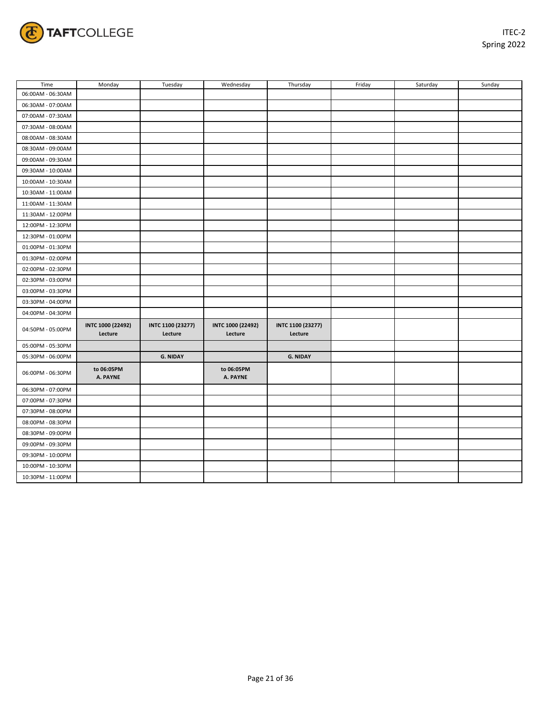

| Time              | Monday                       | Tuesday                      | Wednesday                    | Thursday                     | Friday | Saturday | Sunday |
|-------------------|------------------------------|------------------------------|------------------------------|------------------------------|--------|----------|--------|
| 06:00AM - 06:30AM |                              |                              |                              |                              |        |          |        |
| 06:30AM - 07:00AM |                              |                              |                              |                              |        |          |        |
| 07:00AM - 07:30AM |                              |                              |                              |                              |        |          |        |
| 07:30AM - 08:00AM |                              |                              |                              |                              |        |          |        |
| 08:00AM - 08:30AM |                              |                              |                              |                              |        |          |        |
| 08:30AM - 09:00AM |                              |                              |                              |                              |        |          |        |
| 09:00AM - 09:30AM |                              |                              |                              |                              |        |          |        |
| 09:30AM - 10:00AM |                              |                              |                              |                              |        |          |        |
| 10:00AM - 10:30AM |                              |                              |                              |                              |        |          |        |
| 10:30AM - 11:00AM |                              |                              |                              |                              |        |          |        |
| 11:00AM - 11:30AM |                              |                              |                              |                              |        |          |        |
| 11:30AM - 12:00PM |                              |                              |                              |                              |        |          |        |
| 12:00PM - 12:30PM |                              |                              |                              |                              |        |          |        |
| 12:30PM - 01:00PM |                              |                              |                              |                              |        |          |        |
| 01:00PM - 01:30PM |                              |                              |                              |                              |        |          |        |
| 01:30PM - 02:00PM |                              |                              |                              |                              |        |          |        |
| 02:00PM - 02:30PM |                              |                              |                              |                              |        |          |        |
| 02:30PM - 03:00PM |                              |                              |                              |                              |        |          |        |
| 03:00PM - 03:30PM |                              |                              |                              |                              |        |          |        |
| 03:30PM - 04:00PM |                              |                              |                              |                              |        |          |        |
| 04:00PM - 04:30PM |                              |                              |                              |                              |        |          |        |
| 04:50PM - 05:00PM | INTC 1000 (22492)<br>Lecture | INTC 1100 (23277)<br>Lecture | INTC 1000 (22492)<br>Lecture | INTC 1100 (23277)<br>Lecture |        |          |        |
| 05:00PM - 05:30PM |                              |                              |                              |                              |        |          |        |
| 05:30PM - 06:00PM |                              | <b>G. NIDAY</b>              |                              | <b>G. NIDAY</b>              |        |          |        |
| 06:00PM - 06:30PM | to 06:05PM<br>A. PAYNE       |                              | to 06:05PM<br>A. PAYNE       |                              |        |          |        |
| 06:30PM - 07:00PM |                              |                              |                              |                              |        |          |        |
| 07:00PM - 07:30PM |                              |                              |                              |                              |        |          |        |
| 07:30PM - 08:00PM |                              |                              |                              |                              |        |          |        |
| 08:00PM - 08:30PM |                              |                              |                              |                              |        |          |        |
| 08:30PM - 09:00PM |                              |                              |                              |                              |        |          |        |
| 09:00PM - 09:30PM |                              |                              |                              |                              |        |          |        |
| 09:30PM - 10:00PM |                              |                              |                              |                              |        |          |        |
| 10:00PM - 10:30PM |                              |                              |                              |                              |        |          |        |
| 10:30PM - 11:00PM |                              |                              |                              |                              |        |          |        |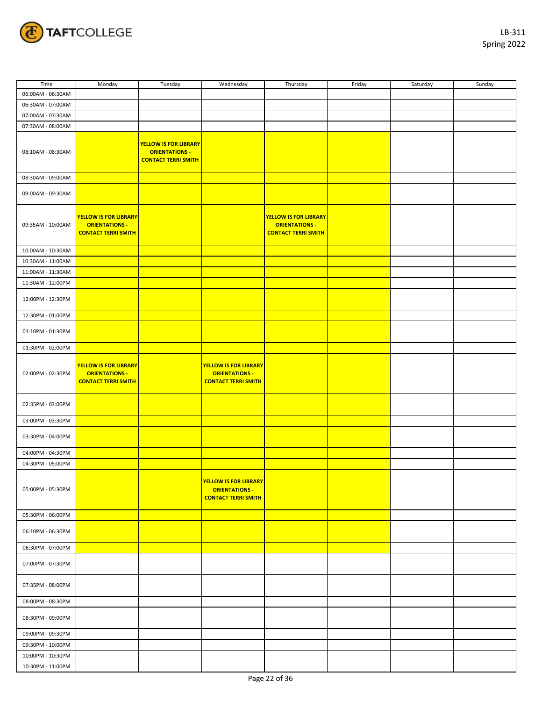

| Time              | Monday                                                                              | Tuesday                                                                             | Wednesday                                                                           | Thursday                                                                            | Friday | Saturday | Sunday |
|-------------------|-------------------------------------------------------------------------------------|-------------------------------------------------------------------------------------|-------------------------------------------------------------------------------------|-------------------------------------------------------------------------------------|--------|----------|--------|
| 06:00AM - 06:30AM |                                                                                     |                                                                                     |                                                                                     |                                                                                     |        |          |        |
| 06:30AM - 07:00AM |                                                                                     |                                                                                     |                                                                                     |                                                                                     |        |          |        |
| 07:00AM - 07:30AM |                                                                                     |                                                                                     |                                                                                     |                                                                                     |        |          |        |
|                   |                                                                                     |                                                                                     |                                                                                     |                                                                                     |        |          |        |
| 07:30AM - 08:00AM |                                                                                     |                                                                                     |                                                                                     |                                                                                     |        |          |        |
| 08:10AM - 08:30AM |                                                                                     | <b>YELLOW IS FOR LIBRARY</b><br><b>ORIENTATIONS -</b><br><b>CONTACT TERRI SMITH</b> |                                                                                     |                                                                                     |        |          |        |
| 08:30AM - 09:00AM |                                                                                     |                                                                                     |                                                                                     |                                                                                     |        |          |        |
| 09:00AM - 09:30AM |                                                                                     |                                                                                     |                                                                                     |                                                                                     |        |          |        |
| 09:35AM - 10:00AM | <b>YELLOW IS FOR LIBRARY</b><br><b>ORIENTATIONS -</b><br><b>CONTACT TERRI SMITH</b> |                                                                                     |                                                                                     | <b>YELLOW IS FOR LIBRARY</b><br><b>ORIENTATIONS -</b><br><b>CONTACT TERRI SMITH</b> |        |          |        |
| 10:00AM - 10:30AM |                                                                                     |                                                                                     |                                                                                     |                                                                                     |        |          |        |
| 10:30AM - 11:00AM |                                                                                     |                                                                                     |                                                                                     |                                                                                     |        |          |        |
| 11:00AM - 11:30AM |                                                                                     |                                                                                     |                                                                                     |                                                                                     |        |          |        |
| 11:30AM - 12:00PM |                                                                                     |                                                                                     |                                                                                     |                                                                                     |        |          |        |
|                   |                                                                                     |                                                                                     |                                                                                     |                                                                                     |        |          |        |
| 12:00PM - 12:30PM |                                                                                     |                                                                                     |                                                                                     |                                                                                     |        |          |        |
| 12:30PM - 01:00PM |                                                                                     |                                                                                     |                                                                                     |                                                                                     |        |          |        |
| 01:10PM - 01:30PM |                                                                                     |                                                                                     |                                                                                     |                                                                                     |        |          |        |
| 01:30PM - 02:00PM |                                                                                     |                                                                                     |                                                                                     |                                                                                     |        |          |        |
| 02:00PM - 02:30PM | <b>YELLOW IS FOR LIBRARY</b><br><b>ORIENTATIONS -</b><br><b>CONTACT TERRI SMITH</b> |                                                                                     | <b>YELLOW IS FOR LIBRARY</b><br><b>ORIENTATIONS -</b><br><b>CONTACT TERRI SMITH</b> |                                                                                     |        |          |        |
| 02:35PM - 03:00PM |                                                                                     |                                                                                     |                                                                                     |                                                                                     |        |          |        |
| 03:00PM - 03:30PM |                                                                                     |                                                                                     |                                                                                     |                                                                                     |        |          |        |
| 03:30PM - 04:00PM |                                                                                     |                                                                                     |                                                                                     |                                                                                     |        |          |        |
| 04:00PM - 04:30PM |                                                                                     |                                                                                     |                                                                                     |                                                                                     |        |          |        |
| 04:30PM - 05:00PM |                                                                                     |                                                                                     |                                                                                     |                                                                                     |        |          |        |
| 05:00PM - 05:30PM |                                                                                     |                                                                                     | <b>YELLOW IS FOR LIBRARY</b><br><b>ORIENTATIONS -</b><br><b>CONTACT TERRI SMITH</b> |                                                                                     |        |          |        |
|                   |                                                                                     |                                                                                     |                                                                                     |                                                                                     |        |          |        |
| 05:30PM - 06:00PM |                                                                                     |                                                                                     |                                                                                     |                                                                                     |        |          |        |
| 06:10PM - 06:30PM |                                                                                     |                                                                                     |                                                                                     |                                                                                     |        |          |        |
| 06:30PM - 07:00PM |                                                                                     |                                                                                     |                                                                                     |                                                                                     |        |          |        |
|                   |                                                                                     |                                                                                     |                                                                                     |                                                                                     |        |          |        |
| 07:00PM - 07:30PM |                                                                                     |                                                                                     |                                                                                     |                                                                                     |        |          |        |
| 07:35PM - 08:00PM |                                                                                     |                                                                                     |                                                                                     |                                                                                     |        |          |        |
| 08:00PM - 08:30PM |                                                                                     |                                                                                     |                                                                                     |                                                                                     |        |          |        |
| 08:30PM - 09:00PM |                                                                                     |                                                                                     |                                                                                     |                                                                                     |        |          |        |
| 09:00PM - 09:30PM |                                                                                     |                                                                                     |                                                                                     |                                                                                     |        |          |        |
| 09:30PM - 10:00PM |                                                                                     |                                                                                     |                                                                                     |                                                                                     |        |          |        |
| 10:00PM - 10:30PM |                                                                                     |                                                                                     |                                                                                     |                                                                                     |        |          |        |
|                   |                                                                                     |                                                                                     |                                                                                     |                                                                                     |        |          |        |
| 10:30PM - 11:00PM |                                                                                     |                                                                                     |                                                                                     |                                                                                     |        |          |        |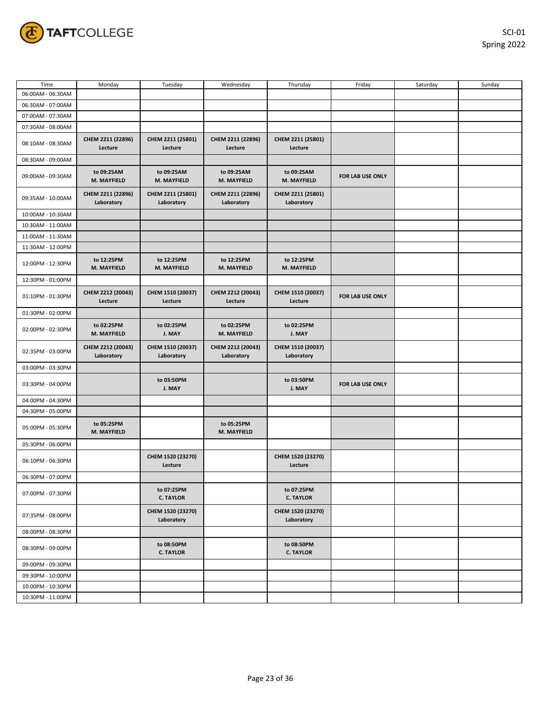

| Time              | Monday                          | Tuesday                         | Wednesday                       | Thursday                        | Friday           | Saturday | Sunday |
|-------------------|---------------------------------|---------------------------------|---------------------------------|---------------------------------|------------------|----------|--------|
| 06:00AM - 06:30AM |                                 |                                 |                                 |                                 |                  |          |        |
| 06:30AM - 07:00AM |                                 |                                 |                                 |                                 |                  |          |        |
| 07:00AM - 07:30AM |                                 |                                 |                                 |                                 |                  |          |        |
| 07:30AM - 08:00AM |                                 |                                 |                                 |                                 |                  |          |        |
| 08:10AM - 08:30AM | CHEM 2211 (22896)<br>Lecture    | CHEM 2211 (25801)<br>Lecture    | CHEM 2211 (22896)<br>Lecture    | CHEM 2211 (25801)<br>Lecture    |                  |          |        |
| 08:30AM - 09:00AM |                                 |                                 |                                 |                                 |                  |          |        |
| 09:00AM - 09:30AM | to 09:25AM<br>M. MAYFIELD       | to 09:25AM<br>M. MAYFIELD       | to 09:25AM<br>M. MAYFIELD       | to 09:25AM<br>M. MAYFIELD       | FOR LAB USE ONLY |          |        |
| 09:35AM - 10:00AM | CHEM 2211 (22896)<br>Laboratory | CHEM 2211 (25801)<br>Laboratory | CHEM 2211 (22896)<br>Laboratory | CHEM 2211 (25801)<br>Laboratory |                  |          |        |
| 10:00AM - 10:30AM |                                 |                                 |                                 |                                 |                  |          |        |
| 10:30AM - 11:00AM |                                 |                                 |                                 |                                 |                  |          |        |
| 11:00AM - 11:30AM |                                 |                                 |                                 |                                 |                  |          |        |
| 11:30AM - 12:00PM |                                 |                                 |                                 |                                 |                  |          |        |
| 12:00PM - 12:30PM | to 12:25PM<br>M. MAYFIELD       | to 12:25PM<br>M. MAYFIELD       | to 12:25PM<br>M. MAYFIELD       | to 12:25PM<br>M. MAYFIELD       |                  |          |        |
| 12:30PM - 01:00PM |                                 |                                 |                                 |                                 |                  |          |        |
| 01:10PM - 01:30PM | CHEM 2212 (20043)<br>Lecture    | CHEM 1510 (20037)<br>Lecture    | CHEM 2212 (20043)<br>Lecture    | CHEM 1510 (20037)<br>Lecture    | FOR LAB USE ONLY |          |        |
| 01:30PM - 02:00PM |                                 |                                 |                                 |                                 |                  |          |        |
| 02:00PM - 02:30PM | to 02:25PM<br>M. MAYFIELD       | to 02:25PM<br>J. MAY            | to 02:25PM<br>M. MAYFIELD       | to 02:25PM<br>J. MAY            |                  |          |        |
| 02:35PM - 03:00PM | CHEM 2212 (20043)<br>Laboratory | CHEM 1510 (20037)<br>Laboratory | CHEM 2212 (20043)<br>Laboratory | CHEM 1510 (20037)<br>Laboratory |                  |          |        |
| 03:00PM - 03:30PM |                                 |                                 |                                 |                                 |                  |          |        |
| 03:30PM - 04:00PM |                                 | to 03:50PM<br>J. MAY            |                                 | to 03:50PM<br>J. MAY            | FOR LAB USE ONLY |          |        |
| 04:00PM - 04:30PM |                                 |                                 |                                 |                                 |                  |          |        |
| 04:30PM - 05:00PM |                                 |                                 |                                 |                                 |                  |          |        |
| 05:00PM - 05:30PM | to 05:25PM<br>M. MAYFIELD       |                                 | to 05:25PM<br>M. MAYFIELD       |                                 |                  |          |        |
| 05:30PM - 06:00PM |                                 |                                 |                                 |                                 |                  |          |        |
| 06:10PM - 06:30PM |                                 | CHEM 1520 (23270)<br>Lecture    |                                 | CHEM 1520 (23270)<br>Lecture    |                  |          |        |
| 06:30PM - 07:00PM |                                 |                                 |                                 |                                 |                  |          |        |
| 07:00PM - 07:30PM |                                 | to 07:25PM<br><b>C. TAYLOR</b>  |                                 | to 07:25PM<br><b>C. TAYLOR</b>  |                  |          |        |
| 07:35PM - 08:00PM |                                 | CHEM 1520 (23270)<br>Laboratory |                                 | CHEM 1520 (23270)<br>Laboratory |                  |          |        |
| 08:00PM - 08:30PM |                                 |                                 |                                 |                                 |                  |          |        |
| 08:30PM - 09:00PM |                                 | to 08:50PM<br><b>C. TAYLOR</b>  |                                 | to 08:50PM<br><b>C. TAYLOR</b>  |                  |          |        |
| 09:00PM - 09:30PM |                                 |                                 |                                 |                                 |                  |          |        |
| 09:30PM - 10:00PM |                                 |                                 |                                 |                                 |                  |          |        |
| 10:00PM - 10:30PM |                                 |                                 |                                 |                                 |                  |          |        |
| 10:30PM - 11:00PM |                                 |                                 |                                 |                                 |                  |          |        |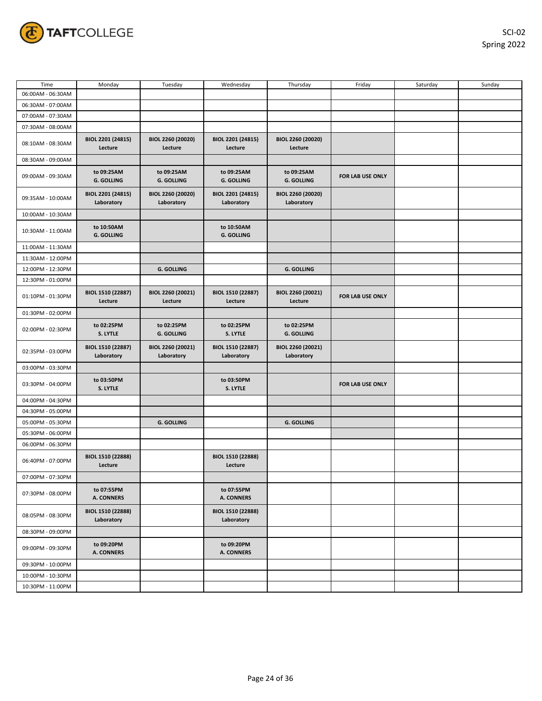

| Time              | Monday                                 | Tuesday                         | Wednesday                       | Thursday                        | Friday           | Saturday | Sunday |
|-------------------|----------------------------------------|---------------------------------|---------------------------------|---------------------------------|------------------|----------|--------|
| 06:00AM - 06:30AM |                                        |                                 |                                 |                                 |                  |          |        |
| 06:30AM - 07:00AM |                                        |                                 |                                 |                                 |                  |          |        |
| 07:00AM - 07:30AM |                                        |                                 |                                 |                                 |                  |          |        |
| 07:30AM - 08:00AM |                                        |                                 |                                 |                                 |                  |          |        |
| 08:10AM - 08:30AM | BIOL 2201 (24815)<br>Lecture           | BIOL 2260 (20020)<br>Lecture    | BIOL 2201 (24815)<br>Lecture    | BIOL 2260 (20020)<br>Lecture    |                  |          |        |
| 08:30AM - 09:00AM |                                        |                                 |                                 |                                 |                  |          |        |
| 09:00AM - 09:30AM | to 09:25AM<br><b>G. GOLLING</b>        | to 09:25AM<br><b>G. GOLLING</b> | to 09:25AM<br><b>G. GOLLING</b> | to 09:25AM<br><b>G. GOLLING</b> | FOR LAB USE ONLY |          |        |
| 09:35AM - 10:00AM | BIOL 2201 (24815)<br>Laboratory        | BIOL 2260 (20020)<br>Laboratory | BIOL 2201 (24815)<br>Laboratory | BIOL 2260 (20020)<br>Laboratory |                  |          |        |
| 10:00AM - 10:30AM |                                        |                                 |                                 |                                 |                  |          |        |
| 10:30AM - 11:00AM | to 10:50AM<br><b>G. GOLLING</b>        |                                 | to 10:50AM<br><b>G. GOLLING</b> |                                 |                  |          |        |
| 11:00AM - 11:30AM |                                        |                                 |                                 |                                 |                  |          |        |
| 11:30AM - 12:00PM |                                        |                                 |                                 |                                 |                  |          |        |
| 12:00PM - 12:30PM |                                        | <b>G. GOLLING</b>               |                                 | <b>G. GOLLING</b>               |                  |          |        |
| 12:30PM - 01:00PM |                                        |                                 |                                 |                                 |                  |          |        |
| 01:10PM - 01:30PM | BIOL 1510 (22887)<br>Lecture           | BIOL 2260 (20021)<br>Lecture    | BIOL 1510 (22887)<br>Lecture    | BIOL 2260 (20021)<br>Lecture    | FOR LAB USE ONLY |          |        |
| 01:30PM - 02:00PM |                                        |                                 |                                 |                                 |                  |          |        |
| 02:00PM - 02:30PM | to 02:25PM<br>S. LYTLE                 | to 02:25PM<br><b>G. GOLLING</b> | to 02:25PM<br>S. LYTLE          | to 02:25PM<br><b>G. GOLLING</b> |                  |          |        |
| 02:35PM - 03:00PM | BIOL 1510 (22887)<br>Laboratory        | BIOL 2260 (20021)<br>Laboratory | BIOL 1510 (22887)<br>Laboratory | BIOL 2260 (20021)<br>Laboratory |                  |          |        |
| 03:00PM - 03:30PM |                                        |                                 |                                 |                                 |                  |          |        |
| 03:30PM - 04:00PM | to 03:50PM<br>S. LYTLE                 |                                 | to 03:50PM<br>S. LYTLE          |                                 | FOR LAB USE ONLY |          |        |
| 04:00PM - 04:30PM |                                        |                                 |                                 |                                 |                  |          |        |
| 04:30PM - 05:00PM |                                        |                                 |                                 |                                 |                  |          |        |
| 05:00PM - 05:30PM |                                        | <b>G. GOLLING</b>               |                                 | <b>G. GOLLING</b>               |                  |          |        |
| 05:30PM - 06:00PM |                                        |                                 |                                 |                                 |                  |          |        |
| 06:00PM - 06:30PM |                                        |                                 |                                 |                                 |                  |          |        |
| 06:40PM - 07:00PM | BIOL 1510 (22888)<br>Lecture           |                                 | BIOL 1510 (22888)<br>Lecture    |                                 |                  |          |        |
| 07:00PM - 07:30PM |                                        |                                 |                                 |                                 |                  |          |        |
| 07:30PM - 08:00PM | to 07:55PM<br><b>A. CONNERS</b>        |                                 | to 07:55PM<br><b>A. CONNERS</b> |                                 |                  |          |        |
| 08:05PM - 08:30PM | <b>BIOL 1510 (22888)</b><br>Laboratory |                                 | BIOL 1510 (22888)<br>Laboratory |                                 |                  |          |        |
| 08:30PM - 09:00PM |                                        |                                 |                                 |                                 |                  |          |        |
| 09:00PM - 09:30PM | to 09:20PM<br><b>A. CONNERS</b>        |                                 | to 09:20PM<br><b>A. CONNERS</b> |                                 |                  |          |        |
| 09:30PM - 10:00PM |                                        |                                 |                                 |                                 |                  |          |        |
| 10:00PM - 10:30PM |                                        |                                 |                                 |                                 |                  |          |        |
| 10:30PM - 11:00PM |                                        |                                 |                                 |                                 |                  |          |        |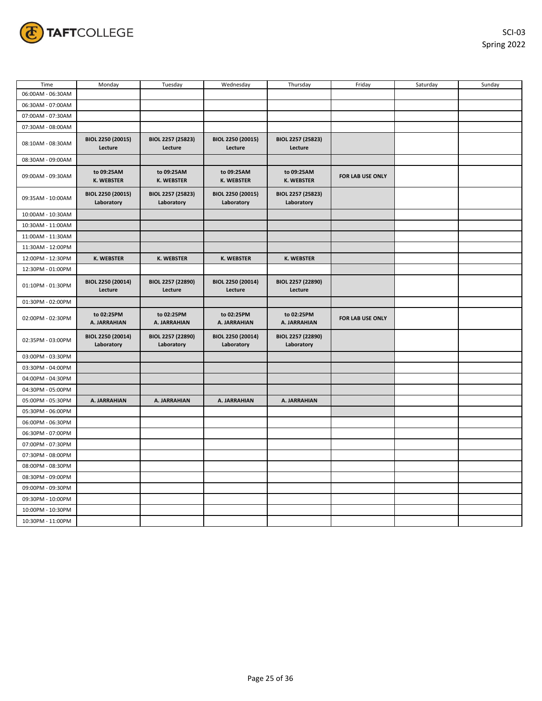

| Time              | Monday                          | Tuesday                         | Wednesday                       | Thursday                        | Friday           | Saturday | Sunday |
|-------------------|---------------------------------|---------------------------------|---------------------------------|---------------------------------|------------------|----------|--------|
| 06:00AM - 06:30AM |                                 |                                 |                                 |                                 |                  |          |        |
| 06:30AM - 07:00AM |                                 |                                 |                                 |                                 |                  |          |        |
| 07:00AM - 07:30AM |                                 |                                 |                                 |                                 |                  |          |        |
| 07:30AM - 08:00AM |                                 |                                 |                                 |                                 |                  |          |        |
| 08:10AM - 08:30AM | BIOL 2250 (20015)<br>Lecture    | BIOL 2257 (25823)<br>Lecture    | BIOL 2250 (20015)<br>Lecture    | BIOL 2257 (25823)<br>Lecture    |                  |          |        |
| 08:30AM - 09:00AM |                                 |                                 |                                 |                                 |                  |          |        |
| 09:00AM - 09:30AM | to 09:25AM<br><b>K. WEBSTER</b> | to 09:25AM<br><b>K. WEBSTER</b> | to 09:25AM<br>K. WEBSTER        | to 09:25AM<br><b>K. WEBSTER</b> | FOR LAB USE ONLY |          |        |
| 09:35AM - 10:00AM | BIOL 2250 (20015)<br>Laboratory | BIOL 2257 (25823)<br>Laboratory | BIOL 2250 (20015)<br>Laboratory | BIOL 2257 (25823)<br>Laboratory |                  |          |        |
| 10:00AM - 10:30AM |                                 |                                 |                                 |                                 |                  |          |        |
| 10:30AM - 11:00AM |                                 |                                 |                                 |                                 |                  |          |        |
| 11:00AM - 11:30AM |                                 |                                 |                                 |                                 |                  |          |        |
| 11:30AM - 12:00PM |                                 |                                 |                                 |                                 |                  |          |        |
| 12:00PM - 12:30PM | <b>K. WEBSTER</b>               | K. WEBSTER                      | <b>K. WEBSTER</b>               | <b>K. WEBSTER</b>               |                  |          |        |
| 12:30PM - 01:00PM |                                 |                                 |                                 |                                 |                  |          |        |
| 01:10PM - 01:30PM | BIOL 2250 (20014)<br>Lecture    | BIOL 2257 (22890)<br>Lecture    | BIOL 2250 (20014)<br>Lecture    | BIOL 2257 (22890)<br>Lecture    |                  |          |        |
| 01:30PM - 02:00PM |                                 |                                 |                                 |                                 |                  |          |        |
| 02:00PM - 02:30PM | to 02:25PM<br>A. JARRAHIAN      | to 02:25PM<br>A. JARRAHIAN      | to 02:25PM<br>A. JARRAHIAN      | to 02:25PM<br>A. JARRAHIAN      | FOR LAB USE ONLY |          |        |
| 02:35PM - 03:00PM | BIOL 2250 (20014)<br>Laboratory | BIOL 2257 (22890)<br>Laboratory | BIOL 2250 (20014)<br>Laboratory | BIOL 2257 (22890)<br>Laboratory |                  |          |        |
| 03:00PM - 03:30PM |                                 |                                 |                                 |                                 |                  |          |        |
| 03:30PM - 04:00PM |                                 |                                 |                                 |                                 |                  |          |        |
| 04:00PM - 04:30PM |                                 |                                 |                                 |                                 |                  |          |        |
| 04:30PM - 05:00PM |                                 |                                 |                                 |                                 |                  |          |        |
| 05:00PM - 05:30PM | A. JARRAHIAN                    | A. JARRAHIAN                    | A. JARRAHIAN                    | A. JARRAHIAN                    |                  |          |        |
| 05:30PM - 06:00PM |                                 |                                 |                                 |                                 |                  |          |        |
| 06:00PM - 06:30PM |                                 |                                 |                                 |                                 |                  |          |        |
| 06:30PM - 07:00PM |                                 |                                 |                                 |                                 |                  |          |        |
| 07:00PM - 07:30PM |                                 |                                 |                                 |                                 |                  |          |        |
| 07:30PM - 08:00PM |                                 |                                 |                                 |                                 |                  |          |        |
| 08:00PM - 08:30PM |                                 |                                 |                                 |                                 |                  |          |        |
| 08:30PM - 09:00PM |                                 |                                 |                                 |                                 |                  |          |        |
| 09:00PM - 09:30PM |                                 |                                 |                                 |                                 |                  |          |        |
| 09:30PM - 10:00PM |                                 |                                 |                                 |                                 |                  |          |        |
| 10:00PM - 10:30PM |                                 |                                 |                                 |                                 |                  |          |        |
| 10:30PM - 11:00PM |                                 |                                 |                                 |                                 |                  |          |        |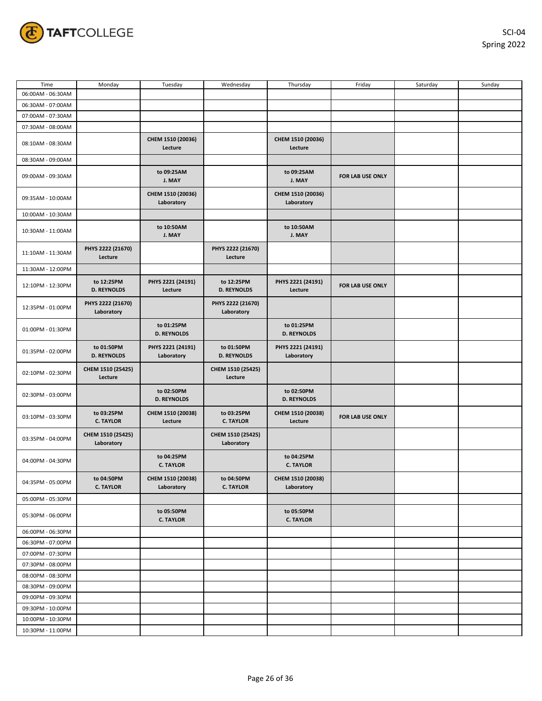

| Time              | Monday                           | Tuesday                          | Wednesday                        | Thursday                         | Friday           | Saturday | Sunday |
|-------------------|----------------------------------|----------------------------------|----------------------------------|----------------------------------|------------------|----------|--------|
| 06:00AM - 06:30AM |                                  |                                  |                                  |                                  |                  |          |        |
| 06:30AM - 07:00AM |                                  |                                  |                                  |                                  |                  |          |        |
| 07:00AM - 07:30AM |                                  |                                  |                                  |                                  |                  |          |        |
| 07:30AM - 08:00AM |                                  |                                  |                                  |                                  |                  |          |        |
|                   |                                  |                                  |                                  | CHEM 1510 (20036)                |                  |          |        |
| 08:10AM - 08:30AM |                                  | CHEM 1510 (20036)<br>Lecture     |                                  | Lecture                          |                  |          |        |
| 08:30AM - 09:00AM |                                  |                                  |                                  |                                  |                  |          |        |
| 09:00AM - 09:30AM |                                  | to 09:25AM<br>J. MAY             |                                  | to 09:25AM<br>J. MAY             | FOR LAB USE ONLY |          |        |
| 09:35AM - 10:00AM |                                  | CHEM 1510 (20036)<br>Laboratory  |                                  | CHEM 1510 (20036)<br>Laboratory  |                  |          |        |
| 10:00AM - 10:30AM |                                  |                                  |                                  |                                  |                  |          |        |
| 10:30AM - 11:00AM |                                  | to 10:50AM<br>J. MAY             |                                  | to 10:50AM<br>J. MAY             |                  |          |        |
| 11:10AM - 11:30AM | PHYS 2222 (21670)<br>Lecture     |                                  | PHYS 2222 (21670)<br>Lecture     |                                  |                  |          |        |
| 11:30AM - 12:00PM |                                  |                                  |                                  |                                  |                  |          |        |
| 12:10PM - 12:30PM | to 12:25PM<br><b>D. REYNOLDS</b> | PHYS 2221 (24191)<br>Lecture     | to 12:25PM<br><b>D. REYNOLDS</b> | PHYS 2221 (24191)<br>Lecture     | FOR LAB USE ONLY |          |        |
| 12:35PM - 01:00PM | PHYS 2222 (21670)<br>Laboratory  |                                  | PHYS 2222 (21670)<br>Laboratory  |                                  |                  |          |        |
| 01:00PM - 01:30PM |                                  | to 01:25PM<br><b>D. REYNOLDS</b> |                                  | to 01:25PM<br><b>D. REYNOLDS</b> |                  |          |        |
| 01:35PM - 02:00PM | to 01:50PM<br><b>D. REYNOLDS</b> | PHYS 2221 (24191)<br>Laboratory  | to 01:50PM<br><b>D. REYNOLDS</b> | PHYS 2221 (24191)<br>Laboratory  |                  |          |        |
| 02:10PM - 02:30PM | CHEM 1510 (25425)<br>Lecture     |                                  | CHEM 1510 (25425)<br>Lecture     |                                  |                  |          |        |
| 02:30PM - 03:00PM |                                  | to 02:50PM<br><b>D. REYNOLDS</b> |                                  | to 02:50PM<br><b>D. REYNOLDS</b> |                  |          |        |
| 03:10PM - 03:30PM | to 03:25PM<br><b>C. TAYLOR</b>   | CHEM 1510 (20038)<br>Lecture     | to 03:25PM<br><b>C. TAYLOR</b>   | CHEM 1510 (20038)<br>Lecture     | FOR LAB USE ONLY |          |        |
| 03:35PM - 04:00PM | CHEM 1510 (25425)<br>Laboratory  |                                  | CHEM 1510 (25425)<br>Laboratory  |                                  |                  |          |        |
| 04:00PM - 04:30PM |                                  | to 04:25PM<br><b>C. TAYLOR</b>   |                                  | to 04:25PM<br><b>C. TAYLOR</b>   |                  |          |        |
| 04:35PM - 05:00PM | to 04:50PM<br><b>C. TAYLOR</b>   | CHEM 1510 (20038)<br>Laboratory  | to 04:50PM<br><b>C. TAYLOR</b>   | CHEM 1510 (20038)<br>Laboratory  |                  |          |        |
| 05:00PM - 05:30PM |                                  |                                  |                                  |                                  |                  |          |        |
| 05:30PM - 06:00PM |                                  | to 05:50PM<br><b>C. TAYLOR</b>   |                                  | to 05:50PM<br><b>C. TAYLOR</b>   |                  |          |        |
| 06:00PM - 06:30PM |                                  |                                  |                                  |                                  |                  |          |        |
| 06:30PM - 07:00PM |                                  |                                  |                                  |                                  |                  |          |        |
| 07:00PM - 07:30PM |                                  |                                  |                                  |                                  |                  |          |        |
| 07:30PM - 08:00PM |                                  |                                  |                                  |                                  |                  |          |        |
| 08:00PM - 08:30PM |                                  |                                  |                                  |                                  |                  |          |        |
| 08:30PM - 09:00PM |                                  |                                  |                                  |                                  |                  |          |        |
|                   |                                  |                                  |                                  |                                  |                  |          |        |
| 09:00PM - 09:30PM |                                  |                                  |                                  |                                  |                  |          |        |
| 09:30PM - 10:00PM |                                  |                                  |                                  |                                  |                  |          |        |
| 10:00PM - 10:30PM |                                  |                                  |                                  |                                  |                  |          |        |
| 10:30PM - 11:00PM |                                  |                                  |                                  |                                  |                  |          |        |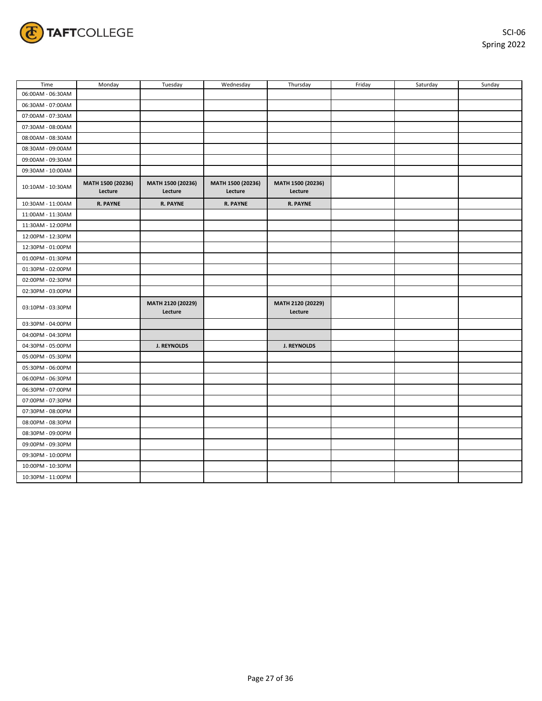

| Time              | Monday                       | Tuesday                      | Wednesday                    | Thursday                     | Friday | Saturday | Sunday |
|-------------------|------------------------------|------------------------------|------------------------------|------------------------------|--------|----------|--------|
| 06:00AM - 06:30AM |                              |                              |                              |                              |        |          |        |
| 06:30AM - 07:00AM |                              |                              |                              |                              |        |          |        |
| 07:00AM - 07:30AM |                              |                              |                              |                              |        |          |        |
| 07:30AM - 08:00AM |                              |                              |                              |                              |        |          |        |
| 08:00AM - 08:30AM |                              |                              |                              |                              |        |          |        |
| 08:30AM - 09:00AM |                              |                              |                              |                              |        |          |        |
| 09:00AM - 09:30AM |                              |                              |                              |                              |        |          |        |
| 09:30AM - 10:00AM |                              |                              |                              |                              |        |          |        |
| 10:10AM - 10:30AM | MATH 1500 (20236)<br>Lecture | MATH 1500 (20236)<br>Lecture | MATH 1500 (20236)<br>Lecture | MATH 1500 (20236)<br>Lecture |        |          |        |
| 10:30AM - 11:00AM | <b>R. PAYNE</b>              | <b>R. PAYNE</b>              | <b>R. PAYNE</b>              | <b>R. PAYNE</b>              |        |          |        |
| 11:00AM - 11:30AM |                              |                              |                              |                              |        |          |        |
| 11:30AM - 12:00PM |                              |                              |                              |                              |        |          |        |
| 12:00PM - 12:30PM |                              |                              |                              |                              |        |          |        |
| 12:30PM - 01:00PM |                              |                              |                              |                              |        |          |        |
| 01:00PM - 01:30PM |                              |                              |                              |                              |        |          |        |
| 01:30PM - 02:00PM |                              |                              |                              |                              |        |          |        |
| 02:00PM - 02:30PM |                              |                              |                              |                              |        |          |        |
| 02:30PM - 03:00PM |                              |                              |                              |                              |        |          |        |
| 03:10PM - 03:30PM |                              | MATH 2120 (20229)<br>Lecture |                              | MATH 2120 (20229)<br>Lecture |        |          |        |
| 03:30PM - 04:00PM |                              |                              |                              |                              |        |          |        |
| 04:00PM - 04:30PM |                              |                              |                              |                              |        |          |        |
| 04:30PM - 05:00PM |                              | <b>J. REYNOLDS</b>           |                              | <b>J. REYNOLDS</b>           |        |          |        |
| 05:00PM - 05:30PM |                              |                              |                              |                              |        |          |        |
| 05:30PM - 06:00PM |                              |                              |                              |                              |        |          |        |
| 06:00PM - 06:30PM |                              |                              |                              |                              |        |          |        |
| 06:30PM - 07:00PM |                              |                              |                              |                              |        |          |        |
| 07:00PM - 07:30PM |                              |                              |                              |                              |        |          |        |
| 07:30PM - 08:00PM |                              |                              |                              |                              |        |          |        |
| 08:00PM - 08:30PM |                              |                              |                              |                              |        |          |        |
| 08:30PM - 09:00PM |                              |                              |                              |                              |        |          |        |
| 09:00PM - 09:30PM |                              |                              |                              |                              |        |          |        |
| 09:30PM - 10:00PM |                              |                              |                              |                              |        |          |        |
| 10:00PM - 10:30PM |                              |                              |                              |                              |        |          |        |
| 10:30PM - 11:00PM |                              |                              |                              |                              |        |          |        |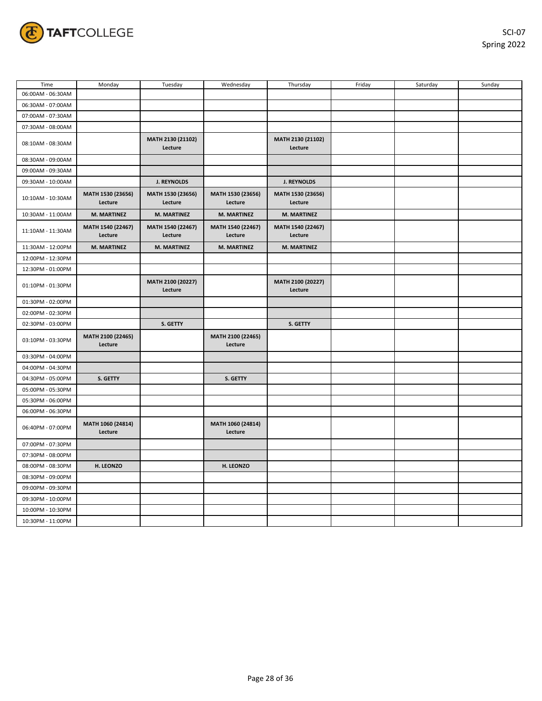

| Time              | Monday                       | Tuesday                      | Wednesday                    | Thursday                     | Friday | Saturday | Sunday |
|-------------------|------------------------------|------------------------------|------------------------------|------------------------------|--------|----------|--------|
| 06:00AM - 06:30AM |                              |                              |                              |                              |        |          |        |
| 06:30AM - 07:00AM |                              |                              |                              |                              |        |          |        |
| 07:00AM - 07:30AM |                              |                              |                              |                              |        |          |        |
| 07:30AM - 08:00AM |                              |                              |                              |                              |        |          |        |
| 08:10AM - 08:30AM |                              | MATH 2130 (21102)<br>Lecture |                              | MATH 2130 (21102)<br>Lecture |        |          |        |
| 08:30AM - 09:00AM |                              |                              |                              |                              |        |          |        |
| 09:00AM - 09:30AM |                              |                              |                              |                              |        |          |        |
| 09:30AM - 10:00AM |                              | <b>J. REYNOLDS</b>           |                              | J. REYNOLDS                  |        |          |        |
| 10:10AM - 10:30AM | MATH 1530 (23656)<br>Lecture | MATH 1530 (23656)<br>Lecture | MATH 1530 (23656)<br>Lecture | MATH 1530 (23656)<br>Lecture |        |          |        |
| 10:30AM - 11:00AM | M. MARTINEZ                  | M. MARTINEZ                  | <b>M. MARTINEZ</b>           | <b>M. MARTINEZ</b>           |        |          |        |
| 11:10AM - 11:30AM | MATH 1540 (22467)<br>Lecture | MATH 1540 (22467)<br>Lecture | MATH 1540 (22467)<br>Lecture | MATH 1540 (22467)<br>Lecture |        |          |        |
| 11:30AM - 12:00PM | <b>M. MARTINEZ</b>           | <b>M. MARTINEZ</b>           | <b>M. MARTINEZ</b>           | <b>M. MARTINEZ</b>           |        |          |        |
| 12:00PM - 12:30PM |                              |                              |                              |                              |        |          |        |
| 12:30PM - 01:00PM |                              |                              |                              |                              |        |          |        |
| 01:10PM - 01:30PM |                              | MATH 2100 (20227)<br>Lecture |                              | MATH 2100 (20227)<br>Lecture |        |          |        |
| 01:30PM - 02:00PM |                              |                              |                              |                              |        |          |        |
| 02:00PM - 02:30PM |                              |                              |                              |                              |        |          |        |
| 02:30PM - 03:00PM |                              | S. GETTY                     |                              | S. GETTY                     |        |          |        |
| 03:10PM - 03:30PM | MATH 2100 (22465)<br>Lecture |                              | MATH 2100 (22465)<br>Lecture |                              |        |          |        |
| 03:30PM - 04:00PM |                              |                              |                              |                              |        |          |        |
| 04:00PM - 04:30PM |                              |                              |                              |                              |        |          |        |
| 04:30PM - 05:00PM | S. GETTY                     |                              | S. GETTY                     |                              |        |          |        |
| 05:00PM - 05:30PM |                              |                              |                              |                              |        |          |        |
| 05:30PM - 06:00PM |                              |                              |                              |                              |        |          |        |
| 06:00PM - 06:30PM |                              |                              |                              |                              |        |          |        |
| 06:40PM - 07:00PM | MATH 1060 (24814)<br>Lecture |                              | MATH 1060 (24814)<br>Lecture |                              |        |          |        |
| 07:00PM - 07:30PM |                              |                              |                              |                              |        |          |        |
| 07:30PM - 08:00PM |                              |                              |                              |                              |        |          |        |
| 08:00PM - 08:30PM | H. LEONZO                    |                              | H. LEONZO                    |                              |        |          |        |
| 08:30PM - 09:00PM |                              |                              |                              |                              |        |          |        |
| 09:00PM - 09:30PM |                              |                              |                              |                              |        |          |        |
| 09:30PM - 10:00PM |                              |                              |                              |                              |        |          |        |
| 10:00PM - 10:30PM |                              |                              |                              |                              |        |          |        |
| 10:30PM - 11:00PM |                              |                              |                              |                              |        |          |        |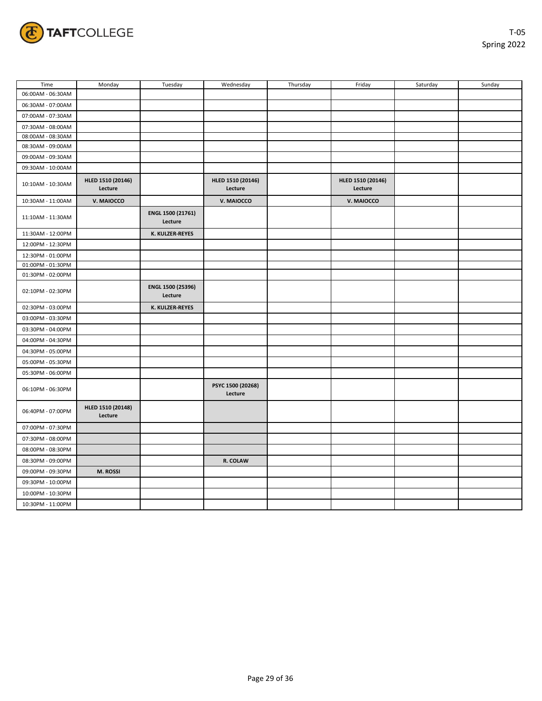

| Time              | Monday                       | Tuesday                      | Wednesday                    | Thursday | Friday                       | Saturday | Sunday |
|-------------------|------------------------------|------------------------------|------------------------------|----------|------------------------------|----------|--------|
| 06:00AM - 06:30AM |                              |                              |                              |          |                              |          |        |
| 06:30AM - 07:00AM |                              |                              |                              |          |                              |          |        |
| 07:00AM - 07:30AM |                              |                              |                              |          |                              |          |        |
| 07:30AM - 08:00AM |                              |                              |                              |          |                              |          |        |
| 08:00AM - 08:30AM |                              |                              |                              |          |                              |          |        |
| 08:30AM - 09:00AM |                              |                              |                              |          |                              |          |        |
| 09:00AM - 09:30AM |                              |                              |                              |          |                              |          |        |
| 09:30AM - 10:00AM |                              |                              |                              |          |                              |          |        |
| 10:10AM - 10:30AM | HLED 1510 (20146)<br>Lecture |                              | HLED 1510 (20146)<br>Lecture |          | HLED 1510 (20146)<br>Lecture |          |        |
| 10:30AM - 11:00AM | V. MAIOCCO                   |                              | V. MAIOCCO                   |          | V. MAIOCCO                   |          |        |
| 11:10AM - 11:30AM |                              | ENGL 1500 (21761)<br>Lecture |                              |          |                              |          |        |
| 11:30AM - 12:00PM |                              | K. KULZER-REYES              |                              |          |                              |          |        |
| 12:00PM - 12:30PM |                              |                              |                              |          |                              |          |        |
| 12:30PM - 01:00PM |                              |                              |                              |          |                              |          |        |
| 01:00PM - 01:30PM |                              |                              |                              |          |                              |          |        |
| 01:30PM - 02:00PM |                              |                              |                              |          |                              |          |        |
| 02:10PM - 02:30PM |                              | ENGL 1500 (25396)<br>Lecture |                              |          |                              |          |        |
| 02:30PM - 03:00PM |                              | K. KULZER-REYES              |                              |          |                              |          |        |
| 03:00PM - 03:30PM |                              |                              |                              |          |                              |          |        |
| 03:30PM - 04:00PM |                              |                              |                              |          |                              |          |        |
| 04:00PM - 04:30PM |                              |                              |                              |          |                              |          |        |
| 04:30PM - 05:00PM |                              |                              |                              |          |                              |          |        |
| 05:00PM - 05:30PM |                              |                              |                              |          |                              |          |        |
| 05:30PM - 06:00PM |                              |                              |                              |          |                              |          |        |
| 06:10PM - 06:30PM |                              |                              | PSYC 1500 (20268)<br>Lecture |          |                              |          |        |
| 06:40PM - 07:00PM | HLED 1510 (20148)<br>Lecture |                              |                              |          |                              |          |        |
| 07:00PM - 07:30PM |                              |                              |                              |          |                              |          |        |
| 07:30PM - 08:00PM |                              |                              |                              |          |                              |          |        |
| 08:00PM - 08:30PM |                              |                              |                              |          |                              |          |        |
| 08:30PM - 09:00PM |                              |                              | R. COLAW                     |          |                              |          |        |
| 09:00PM - 09:30PM | M. ROSSI                     |                              |                              |          |                              |          |        |
| 09:30PM - 10:00PM |                              |                              |                              |          |                              |          |        |
| 10:00PM - 10:30PM |                              |                              |                              |          |                              |          |        |
| 10:30PM - 11:00PM |                              |                              |                              |          |                              |          |        |
|                   |                              |                              |                              |          |                              |          |        |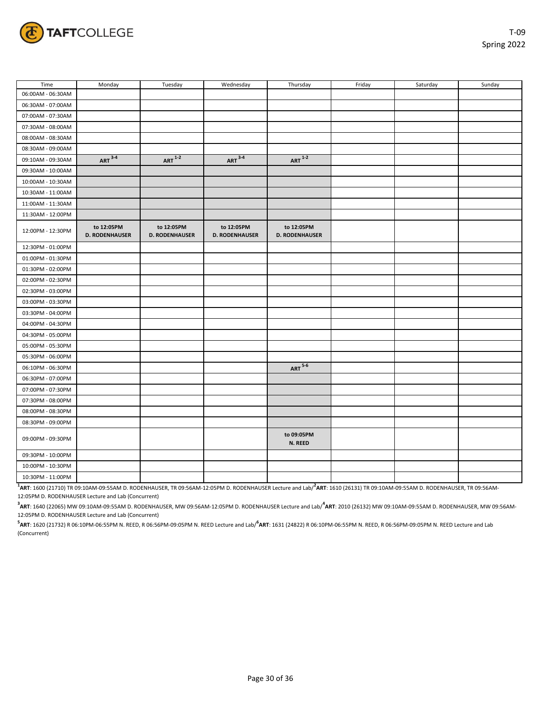

| Time              | Monday                              | Tuesday                             | Wednesday                           | Thursday                            | Friday | Saturday | Sunday |
|-------------------|-------------------------------------|-------------------------------------|-------------------------------------|-------------------------------------|--------|----------|--------|
| 06:00AM - 06:30AM |                                     |                                     |                                     |                                     |        |          |        |
| 06:30AM - 07:00AM |                                     |                                     |                                     |                                     |        |          |        |
| 07:00AM - 07:30AM |                                     |                                     |                                     |                                     |        |          |        |
| 07:30AM - 08:00AM |                                     |                                     |                                     |                                     |        |          |        |
| 08:00AM - 08:30AM |                                     |                                     |                                     |                                     |        |          |        |
| 08:30AM - 09:00AM |                                     |                                     |                                     |                                     |        |          |        |
| 09:10AM - 09:30AM | $ART^{\frac{3-4}{}}$                | $ART^{\overline{1-2}}$              | $ART 3-4$                           | $ART^{\overline{1-2}}$              |        |          |        |
| 09:30AM - 10:00AM |                                     |                                     |                                     |                                     |        |          |        |
| 10:00AM - 10:30AM |                                     |                                     |                                     |                                     |        |          |        |
| 10:30AM - 11:00AM |                                     |                                     |                                     |                                     |        |          |        |
| 11:00AM - 11:30AM |                                     |                                     |                                     |                                     |        |          |        |
| 11:30AM - 12:00PM |                                     |                                     |                                     |                                     |        |          |        |
| 12:00PM - 12:30PM | to 12:05PM<br><b>D. RODENHAUSER</b> | to 12:05PM<br><b>D. RODENHAUSER</b> | to 12:05PM<br><b>D. RODENHAUSER</b> | to 12:05PM<br><b>D. RODENHAUSER</b> |        |          |        |
| 12:30PM - 01:00PM |                                     |                                     |                                     |                                     |        |          |        |
| 01:00PM - 01:30PM |                                     |                                     |                                     |                                     |        |          |        |
| 01:30PM - 02:00PM |                                     |                                     |                                     |                                     |        |          |        |
| 02:00PM - 02:30PM |                                     |                                     |                                     |                                     |        |          |        |
| 02:30PM - 03:00PM |                                     |                                     |                                     |                                     |        |          |        |
| 03:00PM - 03:30PM |                                     |                                     |                                     |                                     |        |          |        |
| 03:30PM - 04:00PM |                                     |                                     |                                     |                                     |        |          |        |
| 04:00PM - 04:30PM |                                     |                                     |                                     |                                     |        |          |        |
| 04:30PM - 05:00PM |                                     |                                     |                                     |                                     |        |          |        |
| 05:00PM - 05:30PM |                                     |                                     |                                     |                                     |        |          |        |
| 05:30PM - 06:00PM |                                     |                                     |                                     |                                     |        |          |        |
| 06:10PM - 06:30PM |                                     |                                     |                                     | $ART 5-6$                           |        |          |        |
| 06:30PM - 07:00PM |                                     |                                     |                                     |                                     |        |          |        |
| 07:00PM - 07:30PM |                                     |                                     |                                     |                                     |        |          |        |
| 07:30PM - 08:00PM |                                     |                                     |                                     |                                     |        |          |        |
| 08:00PM - 08:30PM |                                     |                                     |                                     |                                     |        |          |        |
| 08:30PM - 09:00PM |                                     |                                     |                                     |                                     |        |          |        |
| 09:00PM - 09:30PM |                                     |                                     |                                     | to 09:05PM<br>N. REED               |        |          |        |
| 09:30PM - 10:00PM |                                     |                                     |                                     |                                     |        |          |        |
| 10:00PM - 10:30PM |                                     |                                     |                                     |                                     |        |          |        |
| 10:30PM - 11:00PM |                                     |                                     |                                     |                                     |        |          |        |

**1 ART**: 1600 (21710) TR 09:10AM-09:55AM D. RODENHAUSER, TR 09:56AM-12:05PM D. RODENHAUSER Lecture and Lab/**<sup>2</sup> ART**: 1610 (26131) TR 09:10AM-09:55AM D. RODENHAUSER, TR 09:56AM-12:05PM D. RODENHAUSER Lecture and Lab (Concurrent)

 $^{\textbf{3}}$ **ART**: 1640 (22065) MW 09:10AM-09:55AM D. RODENHAUSER, MW 09:56AM-12:05PM D. RODENHAUSER Lecture and Lab/ $^{\textbf{4}}$ **ART**: 2010 (26132) MW 09:10AM-09:55AM D. RODENHAUSER, MW 09:56AM-12:05PM D. RODENHAUSER Lecture and Lab (Concurrent)

**5 ART**: 1620 (21732) R 06:10PM-06:55PM N. REED, R 06:56PM-09:05PM N. REED Lecture and Lab/**<sup>6</sup> ART**: 1631 (24822) R 06:10PM-06:55PM N. REED, R 06:56PM-09:05PM N. REED Lecture and Lab (Concurrent)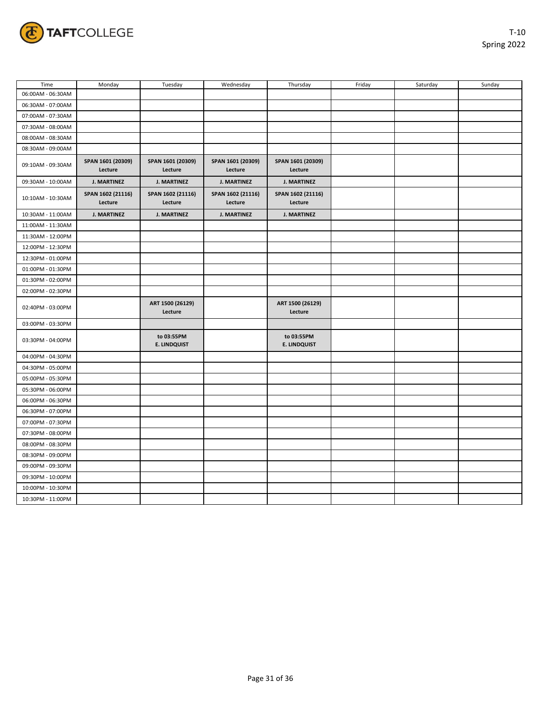

| Time              | Monday                       | Tuesday                           | Wednesday                    | Thursday                          | Friday | Saturday | Sunday |
|-------------------|------------------------------|-----------------------------------|------------------------------|-----------------------------------|--------|----------|--------|
| 06:00AM - 06:30AM |                              |                                   |                              |                                   |        |          |        |
| 06:30AM - 07:00AM |                              |                                   |                              |                                   |        |          |        |
| 07:00AM - 07:30AM |                              |                                   |                              |                                   |        |          |        |
| 07:30AM - 08:00AM |                              |                                   |                              |                                   |        |          |        |
| 08:00AM - 08:30AM |                              |                                   |                              |                                   |        |          |        |
| 08:30AM - 09:00AM |                              |                                   |                              |                                   |        |          |        |
| 09:10AM - 09:30AM | SPAN 1601 (20309)<br>Lecture | SPAN 1601 (20309)<br>Lecture      | SPAN 1601 (20309)<br>Lecture | SPAN 1601 (20309)<br>Lecture      |        |          |        |
| 09:30AM - 10:00AM | <b>J. MARTINEZ</b>           | <b>J. MARTINEZ</b>                | <b>J. MARTINEZ</b>           | <b>J. MARTINEZ</b>                |        |          |        |
| 10:10AM - 10:30AM | SPAN 1602 (21116)<br>Lecture | SPAN 1602 (21116)<br>Lecture      | SPAN 1602 (21116)<br>Lecture | SPAN 1602 (21116)<br>Lecture      |        |          |        |
| 10:30AM - 11:00AM | <b>J. MARTINEZ</b>           | <b>J. MARTINEZ</b>                | <b>J. MARTINEZ</b>           | <b>J. MARTINEZ</b>                |        |          |        |
| 11:00AM - 11:30AM |                              |                                   |                              |                                   |        |          |        |
| 11:30AM - 12:00PM |                              |                                   |                              |                                   |        |          |        |
| 12:00PM - 12:30PM |                              |                                   |                              |                                   |        |          |        |
| 12:30PM - 01:00PM |                              |                                   |                              |                                   |        |          |        |
| 01:00PM - 01:30PM |                              |                                   |                              |                                   |        |          |        |
| 01:30PM - 02:00PM |                              |                                   |                              |                                   |        |          |        |
| 02:00PM - 02:30PM |                              |                                   |                              |                                   |        |          |        |
| 02:40PM - 03:00PM |                              | ART 1500 (26129)<br>Lecture       |                              | ART 1500 (26129)<br>Lecture       |        |          |        |
| 03:00PM - 03:30PM |                              |                                   |                              |                                   |        |          |        |
| 03:30PM - 04:00PM |                              | to 03:55PM<br><b>E. LINDQUIST</b> |                              | to 03:55PM<br><b>E. LINDQUIST</b> |        |          |        |
| 04:00PM - 04:30PM |                              |                                   |                              |                                   |        |          |        |
| 04:30PM - 05:00PM |                              |                                   |                              |                                   |        |          |        |
| 05:00PM - 05:30PM |                              |                                   |                              |                                   |        |          |        |
| 05:30PM - 06:00PM |                              |                                   |                              |                                   |        |          |        |
| 06:00PM - 06:30PM |                              |                                   |                              |                                   |        |          |        |
| 06:30PM - 07:00PM |                              |                                   |                              |                                   |        |          |        |
| 07:00PM - 07:30PM |                              |                                   |                              |                                   |        |          |        |
| 07:30PM - 08:00PM |                              |                                   |                              |                                   |        |          |        |
| 08:00PM - 08:30PM |                              |                                   |                              |                                   |        |          |        |
| 08:30PM - 09:00PM |                              |                                   |                              |                                   |        |          |        |
| 09:00PM - 09:30PM |                              |                                   |                              |                                   |        |          |        |
| 09:30PM - 10:00PM |                              |                                   |                              |                                   |        |          |        |
| 10:00PM - 10:30PM |                              |                                   |                              |                                   |        |          |        |
| 10:30PM - 11:00PM |                              |                                   |                              |                                   |        |          |        |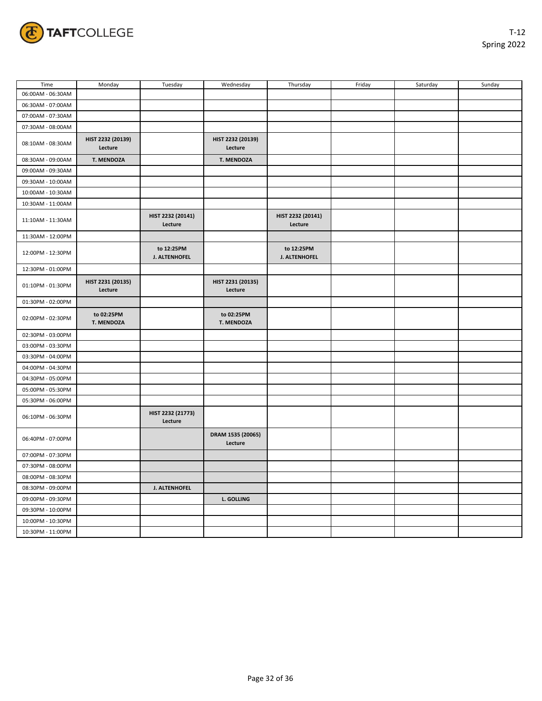

| Time              | Monday                       | Tuesday                      | Wednesday                    | Thursday                     | Friday | Saturday | Sunday |
|-------------------|------------------------------|------------------------------|------------------------------|------------------------------|--------|----------|--------|
| 06:00AM - 06:30AM |                              |                              |                              |                              |        |          |        |
| 06:30AM - 07:00AM |                              |                              |                              |                              |        |          |        |
| 07:00AM - 07:30AM |                              |                              |                              |                              |        |          |        |
| 07:30AM - 08:00AM |                              |                              |                              |                              |        |          |        |
| 08:10AM - 08:30AM | HIST 2232 (20139)<br>Lecture |                              | HIST 2232 (20139)<br>Lecture |                              |        |          |        |
| 08:30AM - 09:00AM | T. MENDOZA                   |                              | T. MENDOZA                   |                              |        |          |        |
| 09:00AM - 09:30AM |                              |                              |                              |                              |        |          |        |
| 09:30AM - 10:00AM |                              |                              |                              |                              |        |          |        |
| 10:00AM - 10:30AM |                              |                              |                              |                              |        |          |        |
| 10:30AM - 11:00AM |                              |                              |                              |                              |        |          |        |
| 11:10AM - 11:30AM |                              | HIST 2232 (20141)<br>Lecture |                              | HIST 2232 (20141)<br>Lecture |        |          |        |
| 11:30AM - 12:00PM |                              |                              |                              |                              |        |          |        |
| 12:00PM - 12:30PM |                              | to 12:25PM<br>J. ALTENHOFEL  |                              | to 12:25PM<br>J. ALTENHOFEL  |        |          |        |
| 12:30PM - 01:00PM |                              |                              |                              |                              |        |          |        |
| 01:10PM - 01:30PM | HIST 2231 (20135)<br>Lecture |                              | HIST 2231 (20135)<br>Lecture |                              |        |          |        |
| 01:30PM - 02:00PM |                              |                              |                              |                              |        |          |        |
| 02:00PM - 02:30PM | to 02:25PM<br>T. MENDOZA     |                              | to 02:25PM<br>T. MENDOZA     |                              |        |          |        |
| 02:30PM - 03:00PM |                              |                              |                              |                              |        |          |        |
| 03:00PM - 03:30PM |                              |                              |                              |                              |        |          |        |
| 03:30PM - 04:00PM |                              |                              |                              |                              |        |          |        |
| 04:00PM - 04:30PM |                              |                              |                              |                              |        |          |        |
| 04:30PM - 05:00PM |                              |                              |                              |                              |        |          |        |
| 05:00PM - 05:30PM |                              |                              |                              |                              |        |          |        |
| 05:30PM - 06:00PM |                              |                              |                              |                              |        |          |        |
| 06:10PM - 06:30PM |                              | HIST 2232 (21773)<br>Lecture |                              |                              |        |          |        |
| 06:40PM - 07:00PM |                              |                              | DRAM 1535 (20065)<br>Lecture |                              |        |          |        |
| 07:00PM - 07:30PM |                              |                              |                              |                              |        |          |        |
| 07:30PM - 08:00PM |                              |                              |                              |                              |        |          |        |
| 08:00PM - 08:30PM |                              |                              |                              |                              |        |          |        |
| 08:30PM - 09:00PM |                              | J. ALTENHOFEL                |                              |                              |        |          |        |
| 09:00PM - 09:30PM |                              |                              | L. GOLLING                   |                              |        |          |        |
| 09:30PM - 10:00PM |                              |                              |                              |                              |        |          |        |
| 10:00PM - 10:30PM |                              |                              |                              |                              |        |          |        |
| 10:30PM - 11:00PM |                              |                              |                              |                              |        |          |        |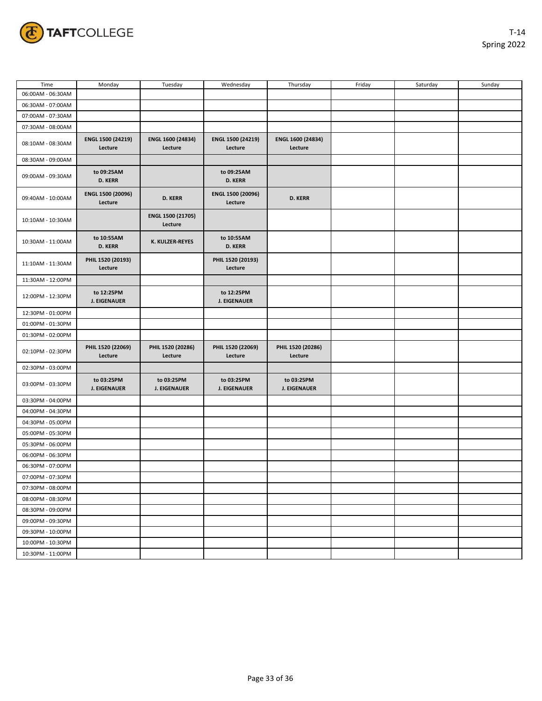

| Time              | Monday                            | Tuesday                           | Wednesday                         | Thursday                          | Friday | Saturday | Sunday |
|-------------------|-----------------------------------|-----------------------------------|-----------------------------------|-----------------------------------|--------|----------|--------|
| 06:00AM - 06:30AM |                                   |                                   |                                   |                                   |        |          |        |
| 06:30AM - 07:00AM |                                   |                                   |                                   |                                   |        |          |        |
| 07:00AM - 07:30AM |                                   |                                   |                                   |                                   |        |          |        |
| 07:30AM - 08:00AM |                                   |                                   |                                   |                                   |        |          |        |
| 08:10AM - 08:30AM | ENGL 1500 (24219)<br>Lecture      | ENGL 1600 (24834)<br>Lecture      | ENGL 1500 (24219)<br>Lecture      | ENGL 1600 (24834)<br>Lecture      |        |          |        |
| 08:30AM - 09:00AM |                                   |                                   |                                   |                                   |        |          |        |
| 09:00AM - 09:30AM | to 09:25AM<br><b>D. KERR</b>      |                                   | to 09:25AM<br><b>D. KERR</b>      |                                   |        |          |        |
| 09:40AM - 10:00AM | ENGL 1500 (20096)<br>Lecture      | <b>D. KERR</b>                    | ENGL 1500 (20096)<br>Lecture      | <b>D. KERR</b>                    |        |          |        |
| 10:10AM - 10:30AM |                                   | ENGL 1500 (21705)<br>Lecture      |                                   |                                   |        |          |        |
| 10:30AM - 11:00AM | to 10:55AM<br><b>D. KERR</b>      | K. KULZER-REYES                   | to 10:55AM<br><b>D. KERR</b>      |                                   |        |          |        |
| 11:10AM - 11:30AM | PHIL 1520 (20193)<br>Lecture      |                                   | PHIL 1520 (20193)<br>Lecture      |                                   |        |          |        |
| 11:30AM - 12:00PM |                                   |                                   |                                   |                                   |        |          |        |
| 12:00PM - 12:30PM | to 12:25PM<br><b>J. EIGENAUER</b> |                                   | to 12:25PM<br><b>J. EIGENAUER</b> |                                   |        |          |        |
| 12:30PM - 01:00PM |                                   |                                   |                                   |                                   |        |          |        |
| 01:00PM - 01:30PM |                                   |                                   |                                   |                                   |        |          |        |
| 01:30PM - 02:00PM |                                   |                                   |                                   |                                   |        |          |        |
| 02:10PM - 02:30PM | PHIL 1520 (22069)<br>Lecture      | PHIL 1520 (20286)<br>Lecture      | PHIL 1520 (22069)<br>Lecture      | PHIL 1520 (20286)<br>Lecture      |        |          |        |
| 02:30PM - 03:00PM |                                   |                                   |                                   |                                   |        |          |        |
| 03:00PM - 03:30PM | to 03:25PM<br><b>J. EIGENAUER</b> | to 03:25PM<br><b>J. EIGENAUER</b> | to 03:25PM<br><b>J. EIGENAUER</b> | to 03:25PM<br><b>J. EIGENAUER</b> |        |          |        |
| 03:30PM - 04:00PM |                                   |                                   |                                   |                                   |        |          |        |
| 04:00PM - 04:30PM |                                   |                                   |                                   |                                   |        |          |        |
| 04:30PM - 05:00PM |                                   |                                   |                                   |                                   |        |          |        |
| 05:00PM - 05:30PM |                                   |                                   |                                   |                                   |        |          |        |
| 05:30PM - 06:00PM |                                   |                                   |                                   |                                   |        |          |        |
| 06:00PM - 06:30PM |                                   |                                   |                                   |                                   |        |          |        |
| 06:30PM - 07:00PM |                                   |                                   |                                   |                                   |        |          |        |
| 07:00PM - 07:30PM |                                   |                                   |                                   |                                   |        |          |        |
| 07:30PM - 08:00PM |                                   |                                   |                                   |                                   |        |          |        |
| 08:00PM - 08:30PM |                                   |                                   |                                   |                                   |        |          |        |
| 08:30PM - 09:00PM |                                   |                                   |                                   |                                   |        |          |        |
| 09:00PM - 09:30PM |                                   |                                   |                                   |                                   |        |          |        |
| 09:30PM - 10:00PM |                                   |                                   |                                   |                                   |        |          |        |
| 10:00PM - 10:30PM |                                   |                                   |                                   |                                   |        |          |        |
| 10:30PM - 11:00PM |                                   |                                   |                                   |                                   |        |          |        |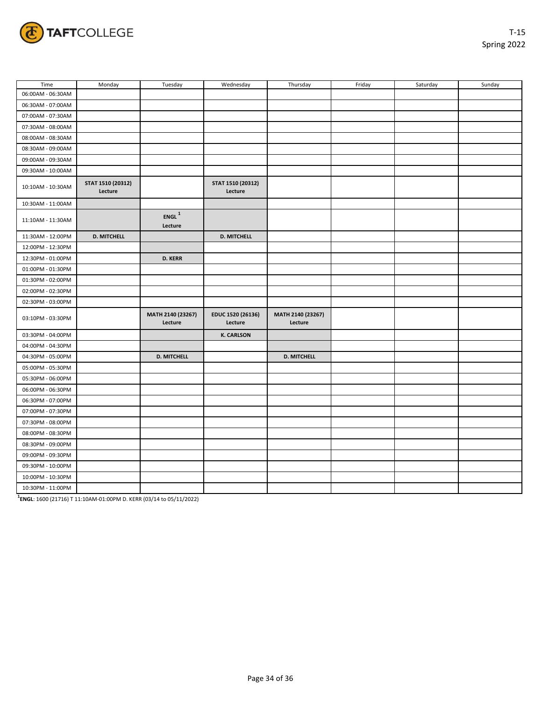

| Time              | Monday                       | Tuesday                      | Wednesday                    | Thursday                     | Friday | Saturday | Sunday |
|-------------------|------------------------------|------------------------------|------------------------------|------------------------------|--------|----------|--------|
| 06:00AM - 06:30AM |                              |                              |                              |                              |        |          |        |
| 06:30AM - 07:00AM |                              |                              |                              |                              |        |          |        |
| 07:00AM - 07:30AM |                              |                              |                              |                              |        |          |        |
| 07:30AM - 08:00AM |                              |                              |                              |                              |        |          |        |
| 08:00AM - 08:30AM |                              |                              |                              |                              |        |          |        |
| 08:30AM - 09:00AM |                              |                              |                              |                              |        |          |        |
| 09:00AM - 09:30AM |                              |                              |                              |                              |        |          |        |
| 09:30AM - 10:00AM |                              |                              |                              |                              |        |          |        |
| 10:10AM - 10:30AM | STAT 1510 (20312)<br>Lecture |                              | STAT 1510 (20312)<br>Lecture |                              |        |          |        |
| 10:30AM - 11:00AM |                              |                              |                              |                              |        |          |        |
| 11:10AM - 11:30AM |                              | $ENGL^{1}$<br>Lecture        |                              |                              |        |          |        |
| 11:30AM - 12:00PM | <b>D. MITCHELL</b>           |                              | <b>D. MITCHELL</b>           |                              |        |          |        |
| 12:00PM - 12:30PM |                              |                              |                              |                              |        |          |        |
| 12:30PM - 01:00PM |                              | <b>D. KERR</b>               |                              |                              |        |          |        |
| 01:00PM - 01:30PM |                              |                              |                              |                              |        |          |        |
| 01:30PM - 02:00PM |                              |                              |                              |                              |        |          |        |
| 02:00PM - 02:30PM |                              |                              |                              |                              |        |          |        |
| 02:30PM - 03:00PM |                              |                              |                              |                              |        |          |        |
| 03:10PM - 03:30PM |                              | MATH 2140 (23267)<br>Lecture | EDUC 1520 (26136)<br>Lecture | MATH 2140 (23267)<br>Lecture |        |          |        |
| 03:30PM - 04:00PM |                              |                              | <b>K. CARLSON</b>            |                              |        |          |        |
| 04:00PM - 04:30PM |                              |                              |                              |                              |        |          |        |
| 04:30PM - 05:00PM |                              | <b>D. MITCHELL</b>           |                              | <b>D. MITCHELL</b>           |        |          |        |
| 05:00PM - 05:30PM |                              |                              |                              |                              |        |          |        |
| 05:30PM - 06:00PM |                              |                              |                              |                              |        |          |        |
| 06:00PM - 06:30PM |                              |                              |                              |                              |        |          |        |
| 06:30PM - 07:00PM |                              |                              |                              |                              |        |          |        |
| 07:00PM - 07:30PM |                              |                              |                              |                              |        |          |        |
| 07:30PM - 08:00PM |                              |                              |                              |                              |        |          |        |
| 08:00PM - 08:30PM |                              |                              |                              |                              |        |          |        |
| 08:30PM - 09:00PM |                              |                              |                              |                              |        |          |        |
| 09:00PM - 09:30PM |                              |                              |                              |                              |        |          |        |
| 09:30PM - 10:00PM |                              |                              |                              |                              |        |          |        |
| 10:00PM - 10:30PM |                              |                              |                              |                              |        |          |        |
| 10:30PM - 11:00PM |                              |                              |                              |                              |        |          |        |

**1 ENGL**: 1600 (21716) T 11:10AM-01:00PM D. KERR (03/14 to 05/11/2022)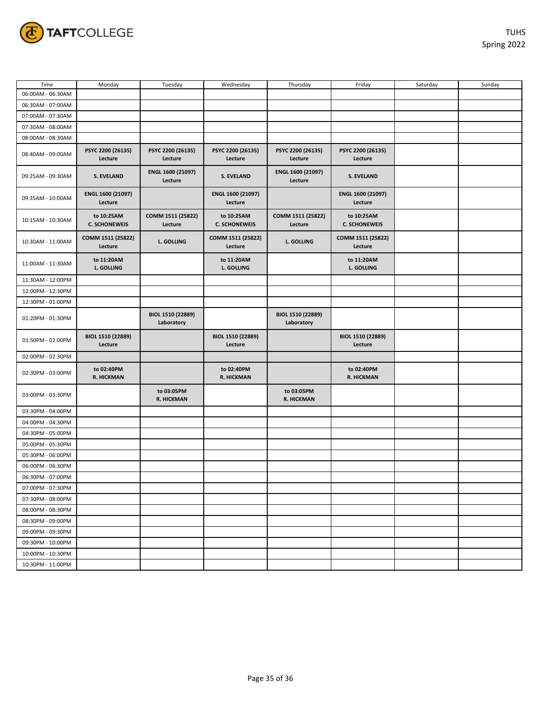

| Time              | Monday                             | Tuesday                         | Wednesday                          | Thursday                        | Friday                             | Saturday | Sunday |
|-------------------|------------------------------------|---------------------------------|------------------------------------|---------------------------------|------------------------------------|----------|--------|
| 06:00AM - 06:30AM |                                    |                                 |                                    |                                 |                                    |          |        |
| 06:30AM - 07:00AM |                                    |                                 |                                    |                                 |                                    |          |        |
| 07:00AM - 07:30AM |                                    |                                 |                                    |                                 |                                    |          |        |
| 07:30AM - 08:00AM |                                    |                                 |                                    |                                 |                                    |          |        |
| 08:00AM - 08:30AM |                                    |                                 |                                    |                                 |                                    |          |        |
| 08:40AM - 09:00AM | PSYC 2200 (26135)<br>Lecture       | PSYC 2200 (26135)<br>Lecture    | PSYC 2200 (26135)<br>Lecture       | PSYC 2200 (26135)<br>Lecture    | PSYC 2200 (26135)<br>Lecture       |          |        |
| 09:25AM - 09:30AM | <b>S. EVELAND</b>                  | ENGL 1600 (21097)<br>Lecture    | <b>S. EVELAND</b>                  | ENGL 1600 (21097)<br>Lecture    | <b>S. EVELAND</b>                  |          |        |
| 09:35AM - 10:00AM | ENGL 1600 (21097)<br>Lecture       |                                 | ENGL 1600 (21097)<br>Lecture       |                                 | ENGL 1600 (21097)<br>Lecture       |          |        |
| 10:15AM - 10:30AM | to 10:25AM<br><b>C. SCHONEWEIS</b> | COMM 1511 (25822)<br>Lecture    | to 10:25AM<br><b>C. SCHONEWEIS</b> | COMM 1511 (25822)<br>Lecture    | to 10:25AM<br><b>C. SCHONEWEIS</b> |          |        |
| 10:30AM - 11:00AM | COMM 1511 (25822)<br>Lecture       | L. GOLLING                      | COMM 1511 (25822)<br>Lecture       | <b>L. GOLLING</b>               | COMM 1511 (25822)<br>Lecture       |          |        |
| 11:00AM - 11:30AM | to 11:20AM<br>L. GOLLING           |                                 | to 11:20AM<br><b>L. GOLLING</b>    |                                 | to 11:20AM<br><b>L. GOLLING</b>    |          |        |
| 11:30AM - 12:00PM |                                    |                                 |                                    |                                 |                                    |          |        |
| 12:00PM - 12:30PM |                                    |                                 |                                    |                                 |                                    |          |        |
| 12:30PM - 01:00PM |                                    |                                 |                                    |                                 |                                    |          |        |
| 01:20PM - 01:30PM |                                    | BIOL 1510 (22889)<br>Laboratory |                                    | BIOL 1510 (22889)<br>Laboratory |                                    |          |        |
| 01:50PM - 02:00PM | BIOL 1510 (22889)<br>Lecture       |                                 | BIOL 1510 (22889)<br>Lecture       |                                 | BIOL 1510 (22889)<br>Lecture       |          |        |
| 02:00PM - 02:30PM |                                    |                                 |                                    |                                 |                                    |          |        |
| 02:30PM - 03:00PM | to 02:40PM<br>R. HICKMAN           |                                 | to 02:40PM<br>R. HICKMAN           |                                 | to 02:40PM<br><b>R. HICKMAN</b>    |          |        |
| 03:00PM - 03:30PM |                                    | to 03:05PM<br>R. HICKMAN        |                                    | to 03:05PM<br>R. HICKMAN        |                                    |          |        |
| 03:30PM - 04:00PM |                                    |                                 |                                    |                                 |                                    |          |        |
| 04:00PM - 04:30PM |                                    |                                 |                                    |                                 |                                    |          |        |
| 04:30PM - 05:00PM |                                    |                                 |                                    |                                 |                                    |          |        |
| 05:00PM - 05:30PM |                                    |                                 |                                    |                                 |                                    |          |        |
| 05:30PM - 06:00PM |                                    |                                 |                                    |                                 |                                    |          |        |
| 06:00PM - 06:30PM |                                    |                                 |                                    |                                 |                                    |          |        |
| 06:30PM - 07:00PM |                                    |                                 |                                    |                                 |                                    |          |        |
| 07:00PM - 07:30PM |                                    |                                 |                                    |                                 |                                    |          |        |
| 07:30PM - 08:00PM |                                    |                                 |                                    |                                 |                                    |          |        |
| 08:00PM - 08:30PM |                                    |                                 |                                    |                                 |                                    |          |        |
| 08:30PM - 09:00PM |                                    |                                 |                                    |                                 |                                    |          |        |
| 09:00PM - 09:30PM |                                    |                                 |                                    |                                 |                                    |          |        |
| 09:30PM - 10:00PM |                                    |                                 |                                    |                                 |                                    |          |        |
| 10:00PM - 10:30PM |                                    |                                 |                                    |                                 |                                    |          |        |
| 10:30PM - 11:00PM |                                    |                                 |                                    |                                 |                                    |          |        |